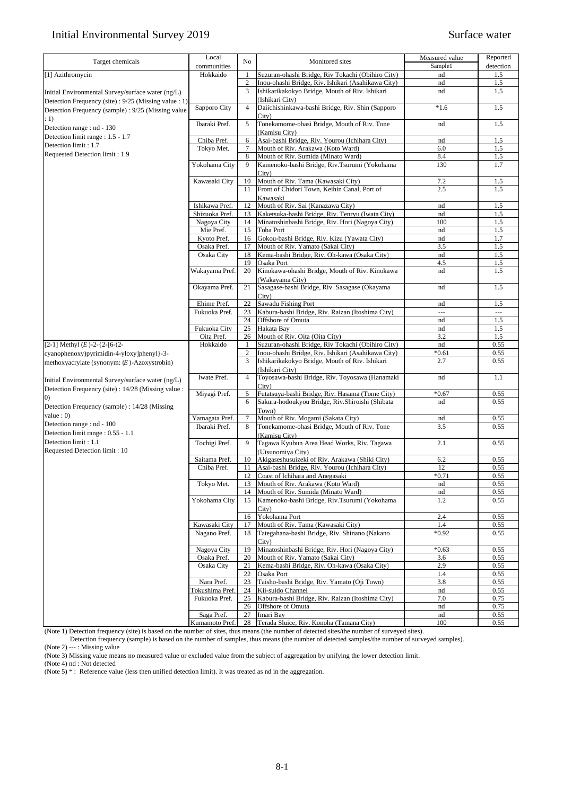| Target chemicals                                       | Local<br>communities      | No             | Monitored sites                                                                   | Measured value<br>Sample1 | Reported<br>detection |
|--------------------------------------------------------|---------------------------|----------------|-----------------------------------------------------------------------------------|---------------------------|-----------------------|
| [1] Azithromycin                                       | Hokkaido                  | -1             | Suzuran-ohashi Bridge, Riv Tokachi (Obihiro City)                                 | nd                        | 1.5                   |
|                                                        |                           | $\overline{2}$ | Inou-ohashi Bridge, Riv. Ishikari (Asahikawa City)                                | nd                        | 1.5                   |
| Initial Environmental Survey/surface water (ng/L)      |                           | 3              | Ishikarikakokyo Bridge, Mouth of Riv. Ishikari                                    | nd                        | 1.5                   |
| Detection Frequency (site) : 9/25 (Missing value : 1)  |                           |                | (Ishikari City)                                                                   |                           |                       |
| Detection Frequency (sample): 9/25 (Missing value      | Sapporo City              | $\overline{4}$ | Daiichishinkawa-bashi Bridge, Riv. Shin (Sapporo<br>City)                         | $*1.6$                    | 1.5                   |
| : 1)                                                   | Ibaraki Pref.             | 5              | Tonekamome-ohasi Bridge, Mouth of Riv. Tone                                       | nd                        | 1.5                   |
| Detection range : nd - 130                             |                           |                | (Kamisu City)                                                                     |                           |                       |
| Detection limit range : 1.5 - 1.7                      | Chiba Pref.               | 6              | Asai-bashi Bridge, Riv. Yourou (Ichihara City)                                    | nd                        | 1.5                   |
| Detection limit: 1.7<br>Requested Detection limit: 1.9 | Tokyo Met.                | $\tau$         | Mouth of Riv. Arakawa (Koto Ward)                                                 | 6.0                       | 1.5                   |
|                                                        |                           | 8              | Mouth of Riv. Sumida (Minato Ward)                                                | 8.4                       | 1.5                   |
|                                                        | Yokohama City             | 9              | Kamenoko-bashi Bridge, Riv.Tsurumi (Yokohama                                      | 130                       | 1.7                   |
|                                                        | Kawasaki City             | 10             | City)<br>Mouth of Riv. Tama (Kawasaki City)                                       | 7.2                       | 1.5                   |
|                                                        |                           | 11             | Front of Chidori Town, Keihin Canal, Port of                                      | 2.5                       | 1.5                   |
|                                                        |                           |                | Kawasaki                                                                          |                           |                       |
|                                                        | Ishikawa Pref.            | 12             | Mouth of Riv. Sai (Kanazawa City)                                                 | nd                        | 1.5                   |
|                                                        | Shizuoka Pref.            | 13             | Kaketsuka-bashi Bridge, Riv. Tenryu (Iwata City)                                  | nd                        | 1.5                   |
|                                                        | Nagoya City               | 14             | Minatoshinbashi Bridge, Riv. Hori (Nagoya City)                                   | 100                       | 1.5                   |
|                                                        | Mie Pref.                 | 15             | Toba Port                                                                         | nd                        | 1.5                   |
|                                                        | Kyoto Pref.               | 16             | Gokou-bashi Bridge, Riv. Kizu (Yawata City)                                       | nd                        | 1.7                   |
|                                                        | Osaka Pref.<br>Osaka City | 17<br>18       | Mouth of Riv. Yamato (Sakai City)<br>Kema-bashi Bridge, Riv. Oh-kawa (Osaka City) | 3.5<br>nd                 | 1.5<br>1.5            |
|                                                        |                           | 19             | Osaka Port                                                                        | 4.5                       | 1.5                   |
|                                                        | Wakayama Pref.            | 20             | Kinokawa-ohashi Bridge, Mouth of Riv. Kinokawa                                    | nd                        | 1.5                   |
|                                                        |                           |                | (Wakayama City)                                                                   |                           |                       |
|                                                        | Okayama Pref.             | 21             | Sasagase-bashi Bridge, Riv. Sasagase (Okayama                                     | nd                        | 1.5                   |
|                                                        |                           |                | City)                                                                             |                           |                       |
|                                                        | Ehime Pref.               | 22             | Sawadu Fishing Port                                                               | nd                        | 1.5                   |
|                                                        | Fukuoka Pref.             | 23             | Kabura-bashi Bridge, Riv. Raizan (Itoshima City)                                  | $\overline{a}$            | $---$                 |
|                                                        | Fukuoka City              | 24<br>25       | Offshore of Omuta<br>Hakata Bay                                                   | nd<br>nd                  | 1.5<br>1.5            |
|                                                        | Oita Pref.                | 26             | Mouth of Riv. Oita (Oita City)                                                    | 3.2                       | 1.5                   |
| [2-1] Methyl $(E)$ -2-{2-[6-(2-                        | Hokkaido                  | $\mathbf{1}$   | Suzuran-ohashi Bridge, Riv Tokachi (Obihiro City)                                 | nd                        | 0.55                  |
| cyanophenoxy)pyrimidin-4-yloxy]phenyl}-3-              |                           | $\overline{c}$ | Inou-ohashi Bridge, Riv. Ishikari (Asahikawa City)                                | $*0.61$                   | 0.55                  |
| methoxyacrylate (synonym: $(E)$ -Azoxystrobin)         |                           | 3              | Ishikarikakokyo Bridge, Mouth of Riv. Ishikari                                    | 2.7                       | 0.55                  |
|                                                        |                           |                | (Ishikari City)                                                                   |                           |                       |
| Initial Environmental Survey/surface water (ng/L)      | Iwate Pref.               | $\overline{4}$ | Toyosawa-bashi Bridge, Riv. Toyosawa (Hanamaki                                    | nd                        | 1.1                   |
| Detection Frequency (site) : 14/28 (Missing value :    |                           |                | City)<br>Futatsuya-bashi Bridge, Riv. Hasama (Tome City)                          |                           |                       |
| $\left( 0\right)$                                      | Miyagi Pref.              | 5<br>6         | Sakura-hodoukyou Bridge, Riv.Shiroishi (Shibata                                   | $*0.67$<br>nd             | 0.55<br>0.55          |
| Detection Frequency (sample) : 14/28 (Missing          |                           |                | Town)                                                                             |                           |                       |
| value: 0)                                              | Yamagata Pref.            | $\overline{7}$ | Mouth of Riv. Mogami (Sakata City)                                                | nd                        | 0.55                  |
| Detection range : nd - 100                             | Ibaraki Pref.             | 8              | Tonekamome-ohasi Bridge, Mouth of Riv. Tone                                       | 3.5                       | 0.55                  |
| Detection limit range : 0.55 - 1.1                     |                           |                | (Kamisu City)                                                                     |                           |                       |
| Detection limit: 1.1<br>Requested Detection limit: 10  | Tochigi Pref.             | 9              | Tagawa Kyubun Area Head Works, Riv. Tagawa<br>(Utsunomiva City)                   | 2.1                       | 0.55                  |
|                                                        | Saitama Pref.             | 10             | Akigaseshusuizeki of Riv. Arakawa (Shiki City)                                    | 6.2                       | 0.55                  |
|                                                        | Chiba Pref.               | 11             | Asai-bashi Bridge, Riv. Yourou (Ichihara City)                                    | 12                        | 0.55                  |
|                                                        |                           | 12             | Coast of Ichihara and Anegasaki                                                   | $*0.71$                   | 0.55                  |
|                                                        | Tokyo Met.                | 13             | Mouth of Riv. Arakawa (Koto Ward)                                                 | nd                        | 0.55                  |
|                                                        |                           | 14             | Mouth of Riv. Sumida (Minato Ward)                                                | nd                        | 0.55                  |
|                                                        | Yokohama City             | 15             | Kamenoko-bashi Bridge, Riv.Tsurumi (Yokohama                                      | 1.2                       | 0.55                  |
|                                                        |                           | 16             | City)<br>Yokohama Port                                                            | $2.4\,$                   | 0.55                  |
|                                                        | Kawasaki City             | 17             | Mouth of Riv. Tama (Kawasaki City)                                                | 1.4                       | 0.55                  |
|                                                        | Nagano Pref.              | 18             | Tategahana-bashi Bridge, Riv. Shinano (Nakano                                     | $*0.92$                   | 0.55                  |
|                                                        |                           |                | City)                                                                             |                           |                       |
|                                                        | Nagoya City               | 19             | Minatoshinbashi Bridge, Riv. Hori (Nagoya City)                                   | $*0.63$                   | 0.55                  |
|                                                        | Osaka Pref.               | 20             | Mouth of Riv. Yamato (Sakai City)                                                 | 3.6                       | 0.55                  |
|                                                        | Osaka City                | 21             | Kema-bashi Bridge, Riv. Oh-kawa (Osaka City)                                      | 2.9                       | 0.55                  |
|                                                        | Nara Pref.                | 22             | Osaka Port<br>Taisho-bashi Bridge, Riv. Yamato (Oji Town)                         | 1.4                       | 0.55                  |
|                                                        | Tokushima Pref.           | 23<br>24       | Kii-suido Channel                                                                 | 3.8<br>nd                 | 0.55<br>0.55          |
|                                                        | Fukuoka Pref.             | 25             | Kabura-bashi Bridge, Riv. Raizan (Itoshima City)                                  | 7.0                       | 0.75                  |
|                                                        |                           | 26             | Offshore of Omuta                                                                 | nd                        | 0.75                  |
|                                                        | Saga Pref.                | 27             | Imari Bay                                                                         | nd                        | 0.55                  |
|                                                        | Kumamoto Pref.            |                | 28 Terada Sluice, Riv. Konoha (Tamana City)                                       | 100                       | 0.55                  |

(Note 1) Detection frequency (site) is based on the number of sites, thus means (the number of detected sites/the number of surveyed sites).

Detection frequency (sample) is based on the number of samples, thus means (the number of detected samples/the number of surveyed samples).

(Note 2) --- : Missing value

(Note 3) Missing value means no measured value or excluded value from the subject of aggregation by unifying the lower detection limit.

(Note 4) nd : Not detected

(Note 5) \* : Reference value (less then unified detection limit). It was treated as nd in the aggregation.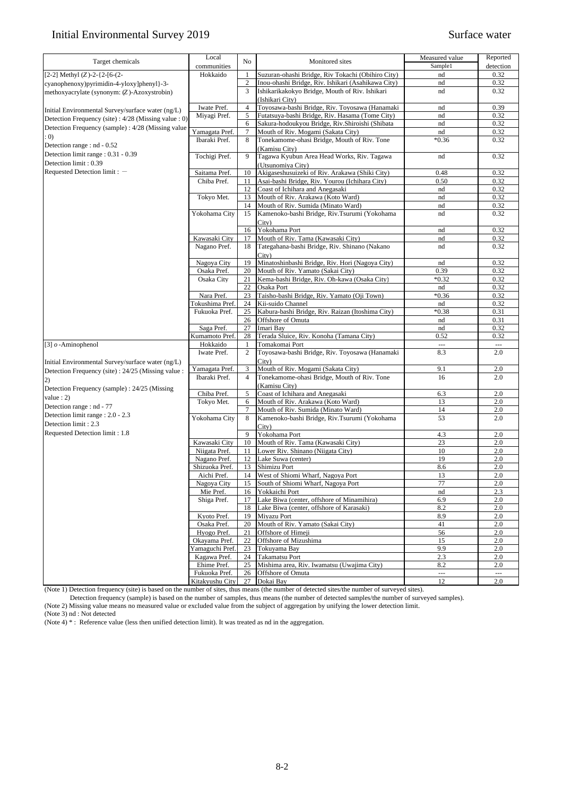| Target chemicals                                          | Local<br>communities       | No                | Monitored sites                                                   | Measured value<br>Sample1 | Reported<br>detection |
|-----------------------------------------------------------|----------------------------|-------------------|-------------------------------------------------------------------|---------------------------|-----------------------|
| [2-2] Methyl $(Z)$ -2-{2-[6-(2-                           | Hokkaido                   | 1                 | Suzuran-ohashi Bridge, Riv Tokachi (Obihiro City)                 | nd                        | 0.32                  |
| cyanophenoxy)pyrimidin-4-yloxy]phenyl}-3-                 |                            | $\sqrt{2}$        | Inou-ohashi Bridge, Riv. Ishikari (Asahikawa City)                | nd                        | 0.32                  |
| methoxyacrylate (synonym: (Z)-Azoxystrobin)               |                            | $\overline{3}$    | Ishikarikakokyo Bridge, Mouth of Riv. Ishikari<br>(Ishikari City) | nd                        | 0.32                  |
| Initial Environmental Survey/surface water (ng/L)         | Iwate Pref.                | $\overline{4}$    | Toyosawa-bashi Bridge, Riv. Toyosawa (Hanamaki                    | nd                        | 0.39                  |
| Detection Frequency (site) : 4/28 (Missing value : 0)     | Miyagi Pref.               | 5                 | Futatsuya-bashi Bridge, Riv. Hasama (Tome City)                   | nd                        | 0.32                  |
| Detection Frequency (sample) : 4/28 (Missing value        |                            | 6                 | Sakura-hodoukyou Bridge, Riv.Shiroishi (Shibata                   | nd                        | 0.32                  |
| : 0)                                                      | Yamagata Pref.             | $\tau$            | Mouth of Riv. Mogami (Sakata City)                                | nd                        | 0.32                  |
| Detection range : nd - 0.52                               | Ibaraki Pref.              | 8                 | Tonekamome-ohasi Bridge, Mouth of Riv. Tone<br>(Kamisu City)      | $*0.36$                   | 0.32                  |
| Detection limit range : 0.31 - 0.39                       | Tochigi Pref.              | 9                 | Tagawa Kyubun Area Head Works, Riv. Tagawa                        | nd                        | 0.32                  |
| Detection limit: 0.39                                     |                            |                   | (Utsunomiya City)                                                 |                           |                       |
| Requested Detection limit : -                             | Saitama Pref.              | 10                | Akigaseshusuizeki of Riv. Arakawa (Shiki City)                    | 0.48                      | 0.32                  |
|                                                           | Chiba Pref.                | 11                | Asai-bashi Bridge, Riv. Yourou (Ichihara City)                    | 0.50                      | 0.32                  |
|                                                           |                            | 12                | Coast of Ichihara and Anegasaki                                   | nd                        | 0.32                  |
|                                                           | Tokyo Met.                 | 13                | Mouth of Riv. Arakawa (Koto Ward)                                 | nd                        | 0.32                  |
|                                                           |                            | 14                | Mouth of Riv. Sumida (Minato Ward)                                | nd                        | 0.32                  |
|                                                           | Yokohama City              | 15                | Kamenoko-bashi Bridge, Riv.Tsurumi (Yokohama<br>City)             | nd                        | 0.32                  |
|                                                           |                            | 16                | Yokohama Port                                                     | nd                        | 0.32                  |
|                                                           | Kawasaki City              | 17                | Mouth of Riv. Tama (Kawasaki City)                                | nd                        | 0.32                  |
|                                                           | Nagano Pref.               | 18                | Tategahana-bashi Bridge, Riv. Shinano (Nakano<br>City)            | nd                        | 0.32                  |
|                                                           | Nagoya City                | 19                | Minatoshinbashi Bridge, Riv. Hori (Nagoya City)                   | nd                        | 0.32                  |
|                                                           | Osaka Pref.                | 20                | Mouth of Riv. Yamato (Sakai City)                                 | 0.39                      | 0.32                  |
|                                                           | Osaka City                 | 21                | Kema-bashi Bridge, Riv. Oh-kawa (Osaka City)                      | $*0.32$                   | 0.32                  |
|                                                           |                            | 22                | Osaka Port                                                        | nd                        | 0.32                  |
|                                                           | Nara Pref.                 | 23                | Taisho-bashi Bridge, Riv. Yamato (Oji Town)                       | $*0.36$                   | 0.32                  |
|                                                           | Tokushima Pref.            | 24                | Kii-suido Channel                                                 | nd                        | 0.32                  |
|                                                           | Fukuoka Pref.              | 25                | Kabura-bashi Bridge, Riv. Raizan (Itoshima City)                  | $*0.38$                   | 0.31                  |
|                                                           |                            | 26                | Offshore of Omuta                                                 | nd                        | 0.31                  |
|                                                           | Saga Pref.                 | 27                | Imari Bay                                                         | nd                        | 0.32                  |
|                                                           | Kumamoto Pref.             | 28                | Terada Sluice, Riv. Konoha (Tamana City)                          | 0.52                      | 0.32                  |
| [3] $o$ -Aminophenol                                      | Hokkaido<br>Iwate Pref.    | $\mathbf{1}$<br>2 | Tomakomai Port<br>Toyosawa-bashi Bridge, Riv. Toyosawa (Hanamaki  | $\overline{a}$<br>8.3     | $\overline{a}$<br>2.0 |
| Initial Environmental Survey/surface water (ng/L)         |                            |                   | City)                                                             |                           |                       |
| Detection Frequency (site) : 24/25 (Missing value :       | Yamagata Pref.             | $\mathfrak{Z}$    | Mouth of Riv. Mogami (Sakata City)                                | 9.1                       | 2.0                   |
| 2)                                                        | Ibaraki Pref.              | $\overline{4}$    | Tonekamome-ohasi Bridge, Mouth of Riv. Tone<br>(Kamisu City)      | 16                        | 2.0                   |
| Detection Frequency (sample): 24/25 (Missing              | Chiba Pref.                | 5                 | Coast of Ichihara and Anegasaki                                   | 6.3                       | 2.0                   |
| value : $2)$                                              | Tokyo Met.                 | 6                 | Mouth of Riv. Arakawa (Koto Ward)                                 | 13                        | 2.0                   |
| Detection range : nd - 77                                 |                            | $\overline{7}$    | Mouth of Riv. Sumida (Minato Ward)                                | 14                        | 2.0                   |
| Detection limit range : 2.0 - 2.3<br>Detection limit: 2.3 | Yokohama City              | 8                 | Kamenoko-bashi Bridge, Riv.Tsurumi (Yokohama<br>City)             | 53                        | 2.0                   |
| Requested Detection limit: 1.8                            |                            | 9                 | Yokohama Port                                                     | 4.3                       | 2.0                   |
|                                                           | Kawasaki City              | 10                | Mouth of Riv. Tama (Kawasaki City)                                | 23                        | 2.0                   |
|                                                           | Niigata Pref.              | 11                | Lower Riv. Shinano (Niigata City)                                 | 10                        | 2.0                   |
|                                                           | Nagano Pref.               | 12                | Lake Suwa (center)                                                | 19                        | 2.0                   |
|                                                           | Shizuoka Pref.             | 13                | Shimizu Port                                                      | 8.6                       | 2.0                   |
|                                                           | Aichi Pref.                |                   | 14 West of Shiomi Wharf, Nagoya Port                              | 13                        | $2.0\,$               |
|                                                           | Nagoya City                | 15                | South of Shiomi Wharf, Nagoya Port                                | 77                        | 2.0                   |
|                                                           | Mie Pref.                  | 16                | Yokkaichi Port                                                    | nd                        | 2.3                   |
|                                                           | Shiga Pref.                | 17                | Lake Biwa (center, offshore of Minamihira)                        | 6.9                       | 2.0                   |
|                                                           |                            | 18                | Lake Biwa (center, offshore of Karasaki)                          | 8.2                       | 2.0                   |
|                                                           | Kyoto Pref.<br>Osaka Pref. | 19<br>20          | Miyazu Port<br>Mouth of Riv. Yamato (Sakai City)                  | 8.9<br>41                 | 2.0<br>2.0            |
|                                                           | Hyogo Pref.                | 21                | Offshore of Himeji                                                | 56                        | 2.0                   |
|                                                           | Okayama Pref.              | 22                | Offshore of Mizushima                                             | 15                        | 2.0                   |
|                                                           | Yamaguchi Pref.            | 23                | Tokuyama Bay                                                      | 9.9                       | 2.0                   |
|                                                           | Kagawa Pref.               | 24                | <b>Takamatsu Port</b>                                             | 2.3                       | 2.0                   |
|                                                           | Ehime Pref.                | 25                | Mishima area, Riv. Iwamatsu (Uwajima City)                        | 8.2                       | 2.0                   |
|                                                           | Fukuoka Pref.              | 26                | Offshore of Omuta                                                 |                           | $\cdots$              |
|                                                           | Kitakyushu City            | 27                | Dokai Bay                                                         | 12                        | 2.0                   |

(Note 1) Detection frequency (site) is based on the number of sites, thus means (the number of detected sites/the number of surveyed sites).

Detection frequency (sample) is based on the number of samples, thus means (the number of detected samples/the number of surveyed samples).

(Note 2) Missing value means no measured value or excluded value from the subject of aggregation by unifying the lower detection limit.

(Note 3) nd : Not detected

(Note 4) \* : Reference value (less then unified detection limit). It was treated as nd in the aggregation.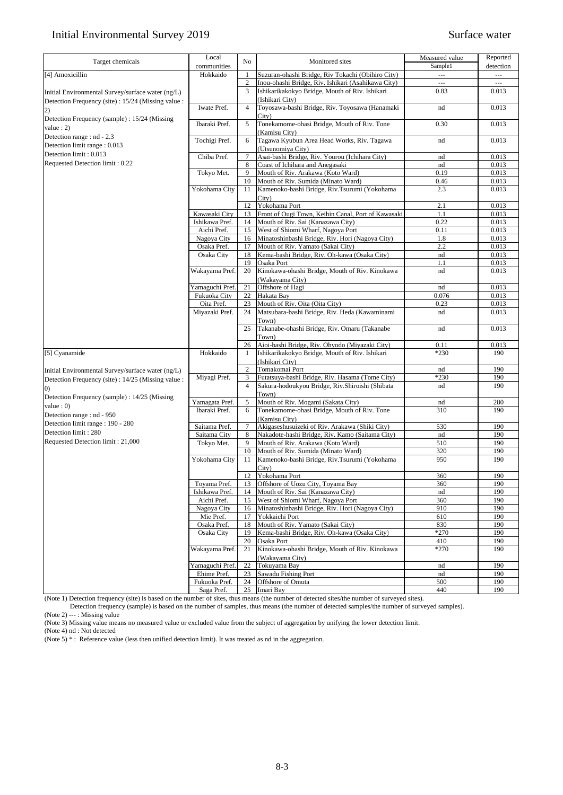| Local<br>Target chemicals<br>No<br>Monitored sites                                                                                                                                 | Measured value | Reported                 |
|------------------------------------------------------------------------------------------------------------------------------------------------------------------------------------|----------------|--------------------------|
| communities                                                                                                                                                                        | Sample1        | detection                |
| [4] Amoxicillin<br>Hokkaido<br>Suzuran-ohashi Bridge, Riv Tokachi (Obihiro City)<br>1                                                                                              | $\ldots$       | $\overline{\phantom{a}}$ |
| $\sqrt{2}$<br>Inou-ohashi Bridge, Riv. Ishikari (Asahikawa City)                                                                                                                   | $\overline{a}$ | $\overline{\phantom{a}}$ |
| 3<br>Ishikarikakokyo Bridge, Mouth of Riv. Ishikari<br>Initial Environmental Survey/surface water (ng/L)<br>(Ishikari City)<br>Detection Frequency (site) : 15/24 (Missing value : | 0.83           | 0.013                    |
| Toyosawa-bashi Bridge, Riv. Toyosawa (Hanamaki<br>Iwate Pref.<br>$\overline{4}$<br>2)<br>City)                                                                                     | nd             | 0.013                    |
| Detection Frequency (sample): 15/24 (Missing)<br>Tonekamome-ohasi Bridge, Mouth of Riv. Tone<br>5<br>Ibaraki Pref.<br>value : $2)$<br>(Kamisu City)                                | 0.30           | 0.013                    |
| Detection range : nd - 2.3<br>Tagawa Kyubun Area Head Works, Riv. Tagawa<br>Tochigi Pref.<br>6<br>Detection limit range: 0.013<br>Utsunomiva City)                                 | nd             | 0.013                    |
| Detection limit: 0.013<br>$\overline{7}$<br>Asai-bashi Bridge, Riv. Yourou (Ichihara City)<br>Chiba Pref.                                                                          | nd             | 0.013                    |
| Requested Detection limit: 0.22<br>8<br>Coast of Ichihara and Anegasaki                                                                                                            | nd             | 0.013                    |
| Mouth of Riv. Arakawa (Koto Ward)<br>9<br>Tokyo Met.                                                                                                                               | 0.19           | 0.013                    |
| Mouth of Riv. Sumida (Minato Ward)<br>10                                                                                                                                           | 0.46           | 0.013                    |
| Yokohama City<br>11<br>Kamenoko-bashi Bridge, Riv.Tsurumi (Yokohama<br>City)                                                                                                       | 2.3            | 0.013                    |
| 12<br>Yokohama Port                                                                                                                                                                | 2.1            | 0.013                    |
| Front of Ougi Town, Keihin Canal, Port of Kawasaki<br>Kawasaki City<br>13                                                                                                          | 1.1            | 0.013                    |
| Ishikawa Pref.<br>Mouth of Riv. Sai (Kanazawa City)<br>14                                                                                                                          | 0.22           | 0.013                    |
| Aichi Pref.<br>15<br>West of Shiomi Wharf, Nagoya Port                                                                                                                             | 0.11           | 0.013                    |
| Minatoshinbashi Bridge, Riv. Hori (Nagoya City)<br>Nagoya City<br>16                                                                                                               | 1.8            | 0.013                    |
| Osaka Pref.<br>17<br>Mouth of Riv. Yamato (Sakai City)                                                                                                                             | 2.2            | 0.013                    |
| Osaka City<br>18<br>Kema-bashi Bridge, Riv. Oh-kawa (Osaka City)                                                                                                                   | nd             | 0.013                    |
| 19<br>Osaka Port                                                                                                                                                                   | 1.1            | 0.013                    |
| Kinokawa-ohashi Bridge, Mouth of Riv. Kinokawa<br>Wakayama Pref.<br>20                                                                                                             | nd             | 0.013                    |
| (Wakayama City)                                                                                                                                                                    |                |                          |
| 21<br>Yamaguchi Pref.<br>Offshore of Hagi                                                                                                                                          | nd             | 0.013                    |
| Fukuoka City<br>Hakata Bay<br>22                                                                                                                                                   | 0.076          | 0.013                    |
| Oita Pref.<br>Mouth of Riv. Oita (Oita City)<br>23                                                                                                                                 | 0.23           | 0.013                    |
| Matsubara-bashi Bridge, Riv. Heda (Kawaminami<br>Miyazaki Pref.<br>24<br>Town)                                                                                                     | nd             | 0.013                    |
| Takanabe-ohashi Bridge, Riv. Omaru (Takanabe<br>25<br>Town)                                                                                                                        | nd             | 0.013                    |
| 26<br>Aioi-bashi Bridge, Riv. Ohyodo (Miyazaki City)                                                                                                                               | 0.11           | 0.013                    |
| [5] Cyanamide<br>Hokkaido<br>Ishikarikakokyo Bridge, Mouth of Riv. Ishikari<br>$\mathbf{1}$<br>(Ishikari City)                                                                     | $*230$         | 190                      |
| $\overline{c}$<br>Tomakomai Port<br>Initial Environmental Survey/surface water (ng/L)                                                                                              | nd             | 190                      |
| 3<br>Futatsuya-bashi Bridge, Riv. Hasama (Tome City)<br>Miyagi Pref.<br>Detection Frequency (site) : 14/25 (Missing value :                                                        | $*230$         | 190                      |
| Sakura-hodoukyou Bridge, Riv.Shiroishi (Shibata<br>$\overline{4}$<br>$\left( 0\right)$<br>Town)                                                                                    | nd             | 190                      |
| Detection Frequency (sample) : 14/25 (Missing<br>Mouth of Riv. Mogami (Sakata City)<br>Yamagata Pref.<br>5                                                                         | nd             | 280                      |
| value: 0)<br>Ibaraki Pref.<br>6<br>Tonekamome-ohasi Bridge, Mouth of Riv. Tone                                                                                                     | 310            | 190                      |
| Detection range : nd - 950<br>(Kamisu City)                                                                                                                                        |                |                          |
| Detection limit range: 190 - 280<br>Saitama Pref.<br>$\tau$<br>Akigaseshusuizeki of Riv. Arakawa (Shiki City)                                                                      | 530            | 190                      |
| Detection limit: 280<br>$\,8\,$<br>Saitama City<br>Nakadote-hashi Bridge, Riv. Kamo (Saitama City)                                                                                 | nd             | 190                      |
| Requested Detection limit: 21,000<br>Tokyo Met.<br>9<br>Mouth of Riv. Arakawa (Koto Ward)                                                                                          | 510            | 190                      |
| 10<br>Mouth of Riv. Sumida (Minato Ward)                                                                                                                                           | 320            | 190                      |
| Yokohama City<br>Kamenoko-bashi Bridge, Riv.Tsurumi (Yokohama<br>11<br>City)                                                                                                       | 950            | 190                      |
| 12<br>Yokohama Port                                                                                                                                                                | 360            | 190                      |
| Offshore of Uozu City, Toyama Bay<br>Toyama Pref.<br>13                                                                                                                            | 360            | 190                      |
| Mouth of Riv. Sai (Kanazawa City)<br>Ishikawa Pref.<br>14                                                                                                                          | nd             | 190                      |
| Aichi Pref.<br>West of Shiomi Wharf, Nagoya Port<br>15                                                                                                                             | 360            | 190                      |
| Minatoshinbashi Bridge, Riv. Hori (Nagoya City)<br>Nagoya City<br>16                                                                                                               | 910            | 190                      |
| Mie Pref.<br>Yokkaichi Port<br>17                                                                                                                                                  | 610            | 190                      |
| Mouth of Riv. Yamato (Sakai City)<br>Osaka Pref.<br>18                                                                                                                             | 830            | 190                      |
| Kema-bashi Bridge, Riv. Oh-kawa (Osaka City)<br>Osaka City<br>19                                                                                                                   | $*270$         | 190                      |
| 20<br>Osaka Port                                                                                                                                                                   | 410            | 190                      |
| Wakayama Pref.<br>Kinokawa-ohashi Bridge, Mouth of Riv. Kinokawa<br>21                                                                                                             | $*270$         | 190                      |
| (Wakayama City)                                                                                                                                                                    |                |                          |
| Yamaguchi Pref.<br>22<br>Tokuyama Bay                                                                                                                                              | nd             | 190                      |
| Ehime Pref.<br>Sawadu Fishing Port<br>23<br>Fukuoka Pref.<br>Offshore of Omuta<br>24                                                                                               | nd<br>500      | 190<br>190               |
| Saga Pref.<br>25 Imari Bay                                                                                                                                                         | 440            | 190                      |

(Note 1) Detection frequency (site) is based on the number of sites, thus means (the number of detected sites/the number of surveyed sites).

Detection frequency (sample) is based on the number of samples, thus means (the number of detected samples/the number of surveyed samples).

(Note 2) --- : Missing value

(Note 3) Missing value means no measured value or excluded value from the subject of aggregation by unifying the lower detection limit.

(Note 4) nd : Not detected

(Note  $5$ )<sup>\*</sup>: Reference value (less then unified detection limit). It was treated as nd in the aggregation.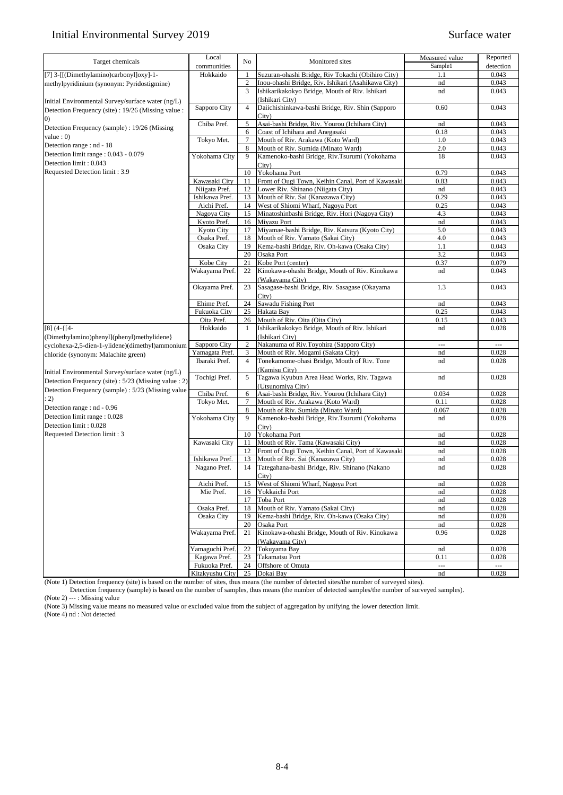| Target chemicals                                    | Local           | No                | Monitored sites                                                      | Measured value | Reported       |
|-----------------------------------------------------|-----------------|-------------------|----------------------------------------------------------------------|----------------|----------------|
|                                                     | communities     |                   |                                                                      | Sample1        | detection      |
| [7] 3-[[(Dimethylamino)carbonyl]oxy]-1-             | Hokkaido        | $\mathbf{1}$      | Suzuran-ohashi Bridge, Riv Tokachi (Obihiro City)                    | 1.1            | 0.043          |
| methylpyridinium (synonym: Pyridostigmine)          |                 | $\sqrt{2}$        | Inou-ohashi Bridge, Riv. Ishikari (Asahikawa City)                   | nd             | 0.043          |
|                                                     |                 | 3                 | Ishikarikakokyo Bridge, Mouth of Riv. Ishikari                       | nd             | 0.043          |
| Initial Environmental Survey/surface water (ng/L)   |                 |                   | (Ishikari City)<br>Daiichishinkawa-bashi Bridge, Riv. Shin (Sapporo  |                |                |
| Detection Frequency (site) : 19/26 (Missing value : | Sapporo City    | $\overline{4}$    |                                                                      | 0.60           | 0.043          |
| $\left( 0\right)$                                   |                 |                   | City)                                                                |                |                |
| Detection Frequency (sample): 19/26 (Missing        | Chiba Pref.     | 5                 | Asai-bashi Bridge, Riv. Yourou (Ichihara City)                       | nd             | 0.043          |
| value : $0$ )                                       |                 | 6                 | Coast of Ichihara and Anegasaki<br>Mouth of Riv. Arakawa (Koto Ward) | 0.18<br>1.0    | 0.043          |
| Detection range : nd - 18                           | Tokyo Met.      | $\tau$<br>$\,8\,$ | Mouth of Riv. Sumida (Minato Ward)                                   | 2.0            | 0.043<br>0.043 |
| Detection limit range : 0.043 - 0.079               | Yokohama City   | 9                 | Kamenoko-bashi Bridge, Riv.Tsurumi (Yokohama                         | 18             | 0.043          |
| Detection limit: 0.043                              |                 |                   | City)                                                                |                |                |
| Requested Detection limit: 3.9                      |                 | 10                | Yokohama Port                                                        | 0.79           | 0.043          |
|                                                     | Kawasaki City   | 11                | Front of Ougi Town, Keihin Canal, Port of Kawasaki                   | 0.83           | 0.043          |
|                                                     | Niigata Pref.   | 12                | Lower Riv. Shinano (Niigata City)                                    | nd             | 0.043          |
|                                                     | Ishikawa Pref.  | 13                | Mouth of Riv. Sai (Kanazawa City)                                    | 0.29           | 0.043          |
|                                                     | Aichi Pref.     | 14                | West of Shiomi Wharf, Nagoya Port                                    | 0.25           | 0.043          |
|                                                     | Nagoya City     | 15                | Minatoshinbashi Bridge, Riv. Hori (Nagoya City)                      | 4.3            | 0.043          |
|                                                     | Kyoto Pref.     | 16                | Miyazu Port                                                          | nd             | 0.043          |
|                                                     | Kyoto City      | 17                | Miyamae-bashi Bridge, Riv. Katsura (Kyoto City)                      | 5.0            | 0.043          |
|                                                     | Osaka Pref.     | 18                | Mouth of Riv. Yamato (Sakai City)                                    | 4.0            | 0.043          |
|                                                     | Osaka City      | 19                | Kema-bashi Bridge, Riv. Oh-kawa (Osaka City)                         | 1.1            | 0.043          |
|                                                     |                 | 20                | Osaka Port                                                           | 3.2            | 0.043          |
|                                                     | Kobe City       | 21                | Kobe Port (center)                                                   | 0.37           | 0.079          |
|                                                     | Wakayama Pref.  | 22                | Kinokawa-ohashi Bridge, Mouth of Riv. Kinokawa                       | nd             | 0.043          |
|                                                     |                 |                   | (Wakavama City)                                                      |                |                |
|                                                     | Okayama Pref.   | 23                | Sasagase-bashi Bridge, Riv. Sasagase (Okayama                        | 1.3            | 0.043          |
|                                                     |                 |                   | City)                                                                |                |                |
|                                                     | Ehime Pref.     | 24                | Sawadu Fishing Port                                                  | nd             | 0.043          |
|                                                     | Fukuoka City    | 25                | Hakata Bay                                                           | 0.25           | 0.043          |
|                                                     | Oita Pref.      | 26                | Mouth of Riv. Oita (Oita City)                                       | 0.15           | 0.043          |
| $[8] (4 - \{ 14 -$                                  | Hokkaido        | $\mathbf{1}$      | Ishikarikakokyo Bridge, Mouth of Riv. Ishikari                       | nd             | 0.028          |
| (Dimethylamino)phenyl](phenyl)methylidene}          |                 |                   | (Ishikari City)                                                      |                |                |
| cyclohexa-2,5-dien-1-ylidene)(dimethyl)ammonium     | Sapporo City    | $\sqrt{2}$        | Nakanuma of Riv.Toyohira (Sapporo City)                              | $\sim$ $\sim$  | $\overline{a}$ |
| chloride (synonym: Malachite green)                 | Yamagata Pref.  | 3                 | Mouth of Riv. Mogami (Sakata City)                                   | nd             | 0.028          |
|                                                     | Ibaraki Pref.   | $\overline{4}$    | Tonekamome-ohasi Bridge, Mouth of Riv. Tone                          | nd             | 0.028          |
|                                                     |                 |                   | (Kamisu City)                                                        |                |                |
| Initial Environmental Survey/surface water (ng/L)   | Tochigi Pref.   | 5                 | Tagawa Kyubun Area Head Works, Riv. Tagawa                           | nd             | 0.028          |
| Detection Frequency (site): 5/23 (Missing value: 2) |                 |                   | (Utsunomiya City)                                                    |                |                |
| Detection Frequency (sample) : 5/23 (Missing value  | Chiba Pref.     | 6                 | Asai-bashi Bridge, Riv. Yourou (Ichihara City)                       | 0.034          | 0.028          |
| : 2)                                                | Tokyo Met.      | $\tau$            | Mouth of Riv. Arakawa (Koto Ward)                                    | 0.11           | 0.028          |
| Detection range : nd - 0.96                         |                 | $\,8\,$           | Mouth of Riv. Sumida (Minato Ward)                                   | 0.067          | 0.028          |
| Detection limit range: 0.028                        | Yokohama City   | 9                 | Kamenoko-bashi Bridge, Riv.Tsurumi (Yokohama                         | nd             | 0.028          |
| Detection limit: 0.028                              |                 |                   | City)                                                                |                |                |
| Requested Detection limit: 3                        |                 | 10                | Yokohama Port                                                        | nd             | 0.028          |
|                                                     | Kawasaki City   | 11                | Mouth of Riv. Tama (Kawasaki City)                                   | nd             | 0.028          |
|                                                     |                 | 12                | Front of Ougi Town, Keihin Canal, Port of Kawasaki                   | nd             | 0.028          |
|                                                     | Ishikawa Pref.  | 13                | Mouth of Riv. Sai (Kanazawa City)                                    | nd             | 0.028          |
|                                                     | Nagano Pref.    | 14                | Tategahana-bashi Bridge, Riv. Shinano (Nakano                        | nd             | 0.028          |
|                                                     |                 |                   | City)                                                                |                |                |
|                                                     | Aichi Pref.     | 15                | West of Shiomi Wharf, Nagoya Port                                    | nd             | 0.028          |
|                                                     | Mie Pref.       | 16                | Yokkaichi Port                                                       | nd             | 0.028          |
|                                                     |                 | 17                | Toba Port                                                            | nd             | 0.028          |
|                                                     | Osaka Pref.     | 18                | Mouth of Riv. Yamato (Sakai City)                                    | nd             | 0.028          |
|                                                     | Osaka City      | 19                | Kema-bashi Bridge, Riv. Oh-kawa (Osaka City)                         | nd             | 0.028          |
|                                                     |                 | 20                | Osaka Port                                                           | nd             | 0.028          |
|                                                     | Wakayama Pref.  | 21                | Kinokawa-ohashi Bridge, Mouth of Riv. Kinokawa                       | 0.96           | 0.028          |
|                                                     |                 |                   | (Wakayama City)                                                      |                |                |
|                                                     | Yamaguchi Pref. | 22                | Tokuyama Bay                                                         | nd             | 0.028          |
|                                                     | Kagawa Pref.    | 23                | <b>Takamatsu Port</b>                                                | 0.11           | 0.028          |
|                                                     | Fukuoka Pref.   | 24                | Offshore of Omuta                                                    | $\cdots$       | $\sim$ $\sim$  |
|                                                     | Kitakyushu City | 25                | Dokai Bay                                                            | nd             | 0.028          |

(Note 1) Detection frequency (site) is based on the number of sites, thus means (the number of detected sites/the number of surveyed sites).

Detection frequency (sample) is based on the number of samples, thus means (the number of detected samples/the number of surveyed samples).

(Note 2) --- : Missing value

(Note 3) Missing value means no measured value or excluded value from the subject of aggregation by unifying the lower detection limit.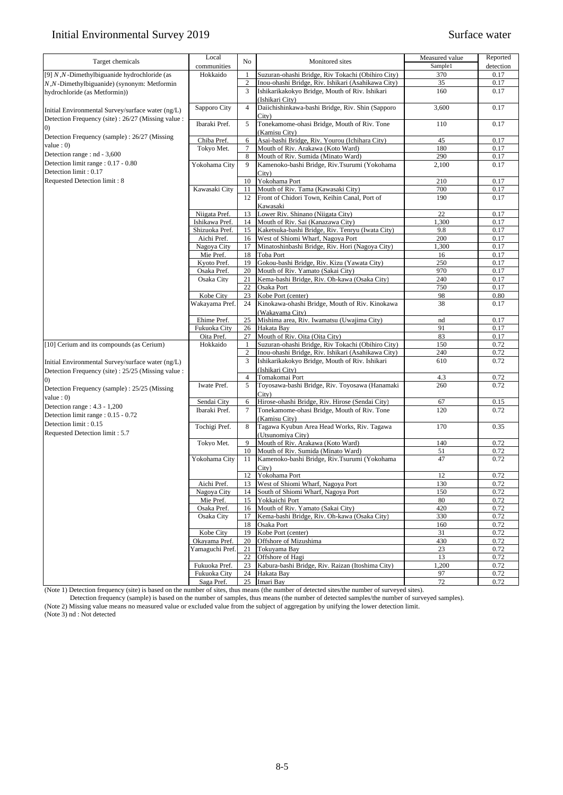| Sample1<br>detection<br>communities<br>[9] $N, N$ -Dimethylbiguanide hydrochloride (as<br>Hokkaido<br>Suzuran-ohashi Bridge, Riv Tokachi (Obihiro City)<br>370<br>0.17<br>$\mathbf{1}$<br>$\overline{2}$<br>Inou-ohashi Bridge, Riv. Ishikari (Asahikawa City)<br>35<br>0.17<br>$N, N$ -Dimethylbiguanide) (synonym: Metformin<br>3<br>Ishikarikakokyo Bridge, Mouth of Riv. Ishikari<br>160<br>0.17<br>hydrochloride (as Metformin))<br>(Ishikari City)<br>Daiichishinkawa-bashi Bridge, Riv. Shin (Sapporo<br>$\overline{4}$<br>Sapporo City<br>3,600<br>0.17<br>Initial Environmental Survey/surface water (ng/L)<br>City)<br>Detection Frequency (site) : 26/27 (Missing value :<br>5<br>Tonekamome-ohasi Bridge, Mouth of Riv. Tone<br>Ibaraki Pref.<br>110<br>0.17<br>$\left( 0\right)$<br>(Kamisu City)<br>Detection Frequency (sample) : 26/27 (Missing<br>Asai-bashi Bridge, Riv. Yourou (Ichihara City)<br>Chiba Pref.<br>45<br>0.17<br>6<br>value $: 0)$<br>Tokyo Met.<br>$\tau$<br>Mouth of Riv. Arakawa (Koto Ward)<br>180<br>0.17<br>Detection range : nd - 3,600<br>Mouth of Riv. Sumida (Minato Ward)<br>290<br>0.17<br>8<br>Detection limit range: 0.17 - 0.80<br>9<br>Yokohama City<br>Kamenoko-bashi Bridge, Riv.Tsurumi (Yokohama<br>2,100<br>0.17<br>Detection limit: 0.17<br>City)<br>Requested Detection limit: 8<br>10<br>Yokohama Port<br>210<br>0.17<br>Mouth of Riv. Tama (Kawasaki City)<br>Kawasaki City<br>700<br>0.17<br>11<br>Front of Chidori Town, Keihin Canal, Port of<br>190<br>12<br>0.17<br>Kawasaki<br>Lower Riv. Shinano (Niigata City)<br>Niigata Pref.<br>13<br>22<br>0.17<br>Ishikawa Pref.<br>14<br>Mouth of Riv. Sai (Kanazawa City)<br>0.17<br>1,300<br>Shizuoka Pref.<br>Kaketsuka-bashi Bridge, Riv. Tenryu (Iwata City)<br>0.17<br>15<br>9.8<br>Aichi Pref.<br>16<br>West of Shiomi Wharf, Nagoya Port<br>0.17<br>200<br>Nagoya City<br>Minatoshinbashi Bridge, Riv. Hori (Nagoya City)<br>0.17<br>17<br>1,300<br>Mie Pref.<br>Toba Port<br>0.17<br>18<br>16<br>Gokou-bashi Bridge, Riv. Kizu (Yawata City)<br>Kyoto Pref.<br>19<br>250<br>0.17<br>970<br>Osaka Pref.<br>Mouth of Riv. Yamato (Sakai City)<br>0.17<br>20<br>Osaka City<br>21<br>Kema-bashi Bridge, Riv. Oh-kawa (Osaka City)<br>240<br>0.17<br>22<br>Osaka Port<br>750<br>0.17<br>Kobe Port (center)<br>Kobe City<br>23<br>98<br>0.80<br>Kinokawa-ohashi Bridge, Mouth of Riv. Kinokawa<br>38<br>Wakayama Pref.<br>24<br>0.17<br>(Wakayama City)<br>25<br>Mishima area, Riv. Iwamatsu (Uwajima City)<br>Ehime Pref.<br>0.17<br>nd<br>Fukuoka City<br>Hakata Bay<br>0.17<br>26<br>91<br>Oita Pref.<br>Mouth of Riv. Oita (Oita City)<br>0.17<br>27<br>83<br>Suzuran-ohashi Bridge, Riv Tokachi (Obihiro City)<br>[10] Cerium and its compounds (as Cerium)<br>Hokkaido<br>150<br>0.72<br>$\mathbf{1}$<br>$\sqrt{2}$<br>Inou-ohashi Bridge, Riv. Ishikari (Asahikawa City)<br>240<br>0.72<br>Ishikarikakokyo Bridge, Mouth of Riv. Ishikari<br>3<br>610<br>0.72<br>Initial Environmental Survey/surface water (ng/L)<br>(Ishikari City)<br>Detection Frequency (site): 25/25 (Missing value:<br>0.72<br>$\overline{4}$<br>Tomakomai Port<br>4.3<br>$\left( 0\right)$<br>Toyosawa-bashi Bridge, Riv. Toyosawa (Hanamaki<br>Iwate Pref.<br>5<br>0.72<br>260<br>Detection Frequency (sample): 25/25 (Missing<br>City)<br>value $: 0)$<br>Hirose-ohashi Bridge, Riv. Hirose (Sendai City)<br>Sendai City<br>6<br>67<br>0.15<br>Detection range: 4.3 - 1,200<br>$\tau$<br>Tonekamome-ohasi Bridge, Mouth of Riv. Tone<br>120<br>Ibaraki Pref.<br>0.72<br>Detection limit range : 0.15 - 0.72<br>(Kamisu City)<br>Detection limit: 0.15<br>8<br>Tagawa Kyubun Area Head Works, Riv. Tagawa<br>170<br>0.35<br>Tochigi Pref.<br>Requested Detection limit: 5.7<br>(Utsunomiya City)<br>9<br>Mouth of Riv. Arakawa (Koto Ward)<br>Tokyo Met.<br>140<br>0.72<br>Mouth of Riv. Sumida (Minato Ward)<br>51<br>0.72<br>10<br>Kamenoko-bashi Bridge, Riv.Tsurumi (Yokohama<br>Yokohama City<br>47<br>0.72<br>11<br>City)<br>12<br>Yokohama Port<br>0.72<br>12<br>Aichi Pref.<br>13<br>West of Shiomi Wharf, Nagoya Port<br>130<br>0.72<br>South of Shiomi Wharf, Nagoya Port<br>Nagoya City<br>150<br>0.72<br>14<br>15<br>Yokkaichi Port<br>80<br>0.72<br>Mie Pref.<br>Osaka Pref.<br>Mouth of Riv. Yamato (Sakai City)<br>420<br>0.72<br>16<br>Osaka City<br>17<br>Kema-bashi Bridge, Riv. Oh-kawa (Osaka City)<br>330<br>0.72<br>18<br>Osaka Port<br>160<br>0.72<br>Kobe Port (center)<br>Kobe City<br>19<br>31<br>0.72<br>Okayama Pref.<br>20<br>Offshore of Mizushima<br>430<br>0.72<br>Yamaguchi Pref.<br>21<br>Tokuyama Bay<br>23<br>0.72<br>22<br>Offshore of Hagi<br>13<br>0.72<br>Kabura-bashi Bridge, Riv. Raizan (Itoshima City)<br>Fukuoka Pref.<br>23<br>1,200<br>0.72<br>Fukuoka City<br>24<br>Hakata Bay<br>97<br>0.72<br>Imari Bay<br>Saga Pref.<br>25<br>72<br>0.72 | Target chemicals | Local | No | Monitored sites | Measured value | Reported |
|----------------------------------------------------------------------------------------------------------------------------------------------------------------------------------------------------------------------------------------------------------------------------------------------------------------------------------------------------------------------------------------------------------------------------------------------------------------------------------------------------------------------------------------------------------------------------------------------------------------------------------------------------------------------------------------------------------------------------------------------------------------------------------------------------------------------------------------------------------------------------------------------------------------------------------------------------------------------------------------------------------------------------------------------------------------------------------------------------------------------------------------------------------------------------------------------------------------------------------------------------------------------------------------------------------------------------------------------------------------------------------------------------------------------------------------------------------------------------------------------------------------------------------------------------------------------------------------------------------------------------------------------------------------------------------------------------------------------------------------------------------------------------------------------------------------------------------------------------------------------------------------------------------------------------------------------------------------------------------------------------------------------------------------------------------------------------------------------------------------------------------------------------------------------------------------------------------------------------------------------------------------------------------------------------------------------------------------------------------------------------------------------------------------------------------------------------------------------------------------------------------------------------------------------------------------------------------------------------------------------------------------------------------------------------------------------------------------------------------------------------------------------------------------------------------------------------------------------------------------------------------------------------------------------------------------------------------------------------------------------------------------------------------------------------------------------------------------------------------------------------------------------------------------------------------------------------------------------------------------------------------------------------------------------------------------------------------------------------------------------------------------------------------------------------------------------------------------------------------------------------------------------------------------------------------------------------------------------------------------------------------------------------------------------------------------------------------------------------------------------------------------------------------------------------------------------------------------------------------------------------------------------------------------------------------------------------------------------------------------------------------------------------------------------------------------------------------------------------------------------------------------------------------------------------------------------------------------------------------------------------------------------------------------------------------------------------------------------------------------------------------------------------------------------------------------------------------------------------------------------------------------------------------------------------------------------------------------------------------------------------------------------------------------------------------------------------------------------------------------------------------------------------------------------------------------------------------------------------------------------------------------|------------------|-------|----|-----------------|----------------|----------|
|                                                                                                                                                                                                                                                                                                                                                                                                                                                                                                                                                                                                                                                                                                                                                                                                                                                                                                                                                                                                                                                                                                                                                                                                                                                                                                                                                                                                                                                                                                                                                                                                                                                                                                                                                                                                                                                                                                                                                                                                                                                                                                                                                                                                                                                                                                                                                                                                                                                                                                                                                                                                                                                                                                                                                                                                                                                                                                                                                                                                                                                                                                                                                                                                                                                                                                                                                                                                                                                                                                                                                                                                                                                                                                                                                                                                                                                                                                                                                                                                                                                                                                                                                                                                                                                                                                                                                                                                                                                                                                                                                                                                                                                                                                                                                                                                                                                                                        |                  |       |    |                 |                |          |
|                                                                                                                                                                                                                                                                                                                                                                                                                                                                                                                                                                                                                                                                                                                                                                                                                                                                                                                                                                                                                                                                                                                                                                                                                                                                                                                                                                                                                                                                                                                                                                                                                                                                                                                                                                                                                                                                                                                                                                                                                                                                                                                                                                                                                                                                                                                                                                                                                                                                                                                                                                                                                                                                                                                                                                                                                                                                                                                                                                                                                                                                                                                                                                                                                                                                                                                                                                                                                                                                                                                                                                                                                                                                                                                                                                                                                                                                                                                                                                                                                                                                                                                                                                                                                                                                                                                                                                                                                                                                                                                                                                                                                                                                                                                                                                                                                                                                                        |                  |       |    |                 |                |          |
|                                                                                                                                                                                                                                                                                                                                                                                                                                                                                                                                                                                                                                                                                                                                                                                                                                                                                                                                                                                                                                                                                                                                                                                                                                                                                                                                                                                                                                                                                                                                                                                                                                                                                                                                                                                                                                                                                                                                                                                                                                                                                                                                                                                                                                                                                                                                                                                                                                                                                                                                                                                                                                                                                                                                                                                                                                                                                                                                                                                                                                                                                                                                                                                                                                                                                                                                                                                                                                                                                                                                                                                                                                                                                                                                                                                                                                                                                                                                                                                                                                                                                                                                                                                                                                                                                                                                                                                                                                                                                                                                                                                                                                                                                                                                                                                                                                                                                        |                  |       |    |                 |                |          |
|                                                                                                                                                                                                                                                                                                                                                                                                                                                                                                                                                                                                                                                                                                                                                                                                                                                                                                                                                                                                                                                                                                                                                                                                                                                                                                                                                                                                                                                                                                                                                                                                                                                                                                                                                                                                                                                                                                                                                                                                                                                                                                                                                                                                                                                                                                                                                                                                                                                                                                                                                                                                                                                                                                                                                                                                                                                                                                                                                                                                                                                                                                                                                                                                                                                                                                                                                                                                                                                                                                                                                                                                                                                                                                                                                                                                                                                                                                                                                                                                                                                                                                                                                                                                                                                                                                                                                                                                                                                                                                                                                                                                                                                                                                                                                                                                                                                                                        |                  |       |    |                 |                |          |
|                                                                                                                                                                                                                                                                                                                                                                                                                                                                                                                                                                                                                                                                                                                                                                                                                                                                                                                                                                                                                                                                                                                                                                                                                                                                                                                                                                                                                                                                                                                                                                                                                                                                                                                                                                                                                                                                                                                                                                                                                                                                                                                                                                                                                                                                                                                                                                                                                                                                                                                                                                                                                                                                                                                                                                                                                                                                                                                                                                                                                                                                                                                                                                                                                                                                                                                                                                                                                                                                                                                                                                                                                                                                                                                                                                                                                                                                                                                                                                                                                                                                                                                                                                                                                                                                                                                                                                                                                                                                                                                                                                                                                                                                                                                                                                                                                                                                                        |                  |       |    |                 |                |          |
|                                                                                                                                                                                                                                                                                                                                                                                                                                                                                                                                                                                                                                                                                                                                                                                                                                                                                                                                                                                                                                                                                                                                                                                                                                                                                                                                                                                                                                                                                                                                                                                                                                                                                                                                                                                                                                                                                                                                                                                                                                                                                                                                                                                                                                                                                                                                                                                                                                                                                                                                                                                                                                                                                                                                                                                                                                                                                                                                                                                                                                                                                                                                                                                                                                                                                                                                                                                                                                                                                                                                                                                                                                                                                                                                                                                                                                                                                                                                                                                                                                                                                                                                                                                                                                                                                                                                                                                                                                                                                                                                                                                                                                                                                                                                                                                                                                                                                        |                  |       |    |                 |                |          |
|                                                                                                                                                                                                                                                                                                                                                                                                                                                                                                                                                                                                                                                                                                                                                                                                                                                                                                                                                                                                                                                                                                                                                                                                                                                                                                                                                                                                                                                                                                                                                                                                                                                                                                                                                                                                                                                                                                                                                                                                                                                                                                                                                                                                                                                                                                                                                                                                                                                                                                                                                                                                                                                                                                                                                                                                                                                                                                                                                                                                                                                                                                                                                                                                                                                                                                                                                                                                                                                                                                                                                                                                                                                                                                                                                                                                                                                                                                                                                                                                                                                                                                                                                                                                                                                                                                                                                                                                                                                                                                                                                                                                                                                                                                                                                                                                                                                                                        |                  |       |    |                 |                |          |
|                                                                                                                                                                                                                                                                                                                                                                                                                                                                                                                                                                                                                                                                                                                                                                                                                                                                                                                                                                                                                                                                                                                                                                                                                                                                                                                                                                                                                                                                                                                                                                                                                                                                                                                                                                                                                                                                                                                                                                                                                                                                                                                                                                                                                                                                                                                                                                                                                                                                                                                                                                                                                                                                                                                                                                                                                                                                                                                                                                                                                                                                                                                                                                                                                                                                                                                                                                                                                                                                                                                                                                                                                                                                                                                                                                                                                                                                                                                                                                                                                                                                                                                                                                                                                                                                                                                                                                                                                                                                                                                                                                                                                                                                                                                                                                                                                                                                                        |                  |       |    |                 |                |          |
|                                                                                                                                                                                                                                                                                                                                                                                                                                                                                                                                                                                                                                                                                                                                                                                                                                                                                                                                                                                                                                                                                                                                                                                                                                                                                                                                                                                                                                                                                                                                                                                                                                                                                                                                                                                                                                                                                                                                                                                                                                                                                                                                                                                                                                                                                                                                                                                                                                                                                                                                                                                                                                                                                                                                                                                                                                                                                                                                                                                                                                                                                                                                                                                                                                                                                                                                                                                                                                                                                                                                                                                                                                                                                                                                                                                                                                                                                                                                                                                                                                                                                                                                                                                                                                                                                                                                                                                                                                                                                                                                                                                                                                                                                                                                                                                                                                                                                        |                  |       |    |                 |                |          |
|                                                                                                                                                                                                                                                                                                                                                                                                                                                                                                                                                                                                                                                                                                                                                                                                                                                                                                                                                                                                                                                                                                                                                                                                                                                                                                                                                                                                                                                                                                                                                                                                                                                                                                                                                                                                                                                                                                                                                                                                                                                                                                                                                                                                                                                                                                                                                                                                                                                                                                                                                                                                                                                                                                                                                                                                                                                                                                                                                                                                                                                                                                                                                                                                                                                                                                                                                                                                                                                                                                                                                                                                                                                                                                                                                                                                                                                                                                                                                                                                                                                                                                                                                                                                                                                                                                                                                                                                                                                                                                                                                                                                                                                                                                                                                                                                                                                                                        |                  |       |    |                 |                |          |
|                                                                                                                                                                                                                                                                                                                                                                                                                                                                                                                                                                                                                                                                                                                                                                                                                                                                                                                                                                                                                                                                                                                                                                                                                                                                                                                                                                                                                                                                                                                                                                                                                                                                                                                                                                                                                                                                                                                                                                                                                                                                                                                                                                                                                                                                                                                                                                                                                                                                                                                                                                                                                                                                                                                                                                                                                                                                                                                                                                                                                                                                                                                                                                                                                                                                                                                                                                                                                                                                                                                                                                                                                                                                                                                                                                                                                                                                                                                                                                                                                                                                                                                                                                                                                                                                                                                                                                                                                                                                                                                                                                                                                                                                                                                                                                                                                                                                                        |                  |       |    |                 |                |          |
|                                                                                                                                                                                                                                                                                                                                                                                                                                                                                                                                                                                                                                                                                                                                                                                                                                                                                                                                                                                                                                                                                                                                                                                                                                                                                                                                                                                                                                                                                                                                                                                                                                                                                                                                                                                                                                                                                                                                                                                                                                                                                                                                                                                                                                                                                                                                                                                                                                                                                                                                                                                                                                                                                                                                                                                                                                                                                                                                                                                                                                                                                                                                                                                                                                                                                                                                                                                                                                                                                                                                                                                                                                                                                                                                                                                                                                                                                                                                                                                                                                                                                                                                                                                                                                                                                                                                                                                                                                                                                                                                                                                                                                                                                                                                                                                                                                                                                        |                  |       |    |                 |                |          |
|                                                                                                                                                                                                                                                                                                                                                                                                                                                                                                                                                                                                                                                                                                                                                                                                                                                                                                                                                                                                                                                                                                                                                                                                                                                                                                                                                                                                                                                                                                                                                                                                                                                                                                                                                                                                                                                                                                                                                                                                                                                                                                                                                                                                                                                                                                                                                                                                                                                                                                                                                                                                                                                                                                                                                                                                                                                                                                                                                                                                                                                                                                                                                                                                                                                                                                                                                                                                                                                                                                                                                                                                                                                                                                                                                                                                                                                                                                                                                                                                                                                                                                                                                                                                                                                                                                                                                                                                                                                                                                                                                                                                                                                                                                                                                                                                                                                                                        |                  |       |    |                 |                |          |
|                                                                                                                                                                                                                                                                                                                                                                                                                                                                                                                                                                                                                                                                                                                                                                                                                                                                                                                                                                                                                                                                                                                                                                                                                                                                                                                                                                                                                                                                                                                                                                                                                                                                                                                                                                                                                                                                                                                                                                                                                                                                                                                                                                                                                                                                                                                                                                                                                                                                                                                                                                                                                                                                                                                                                                                                                                                                                                                                                                                                                                                                                                                                                                                                                                                                                                                                                                                                                                                                                                                                                                                                                                                                                                                                                                                                                                                                                                                                                                                                                                                                                                                                                                                                                                                                                                                                                                                                                                                                                                                                                                                                                                                                                                                                                                                                                                                                                        |                  |       |    |                 |                |          |
|                                                                                                                                                                                                                                                                                                                                                                                                                                                                                                                                                                                                                                                                                                                                                                                                                                                                                                                                                                                                                                                                                                                                                                                                                                                                                                                                                                                                                                                                                                                                                                                                                                                                                                                                                                                                                                                                                                                                                                                                                                                                                                                                                                                                                                                                                                                                                                                                                                                                                                                                                                                                                                                                                                                                                                                                                                                                                                                                                                                                                                                                                                                                                                                                                                                                                                                                                                                                                                                                                                                                                                                                                                                                                                                                                                                                                                                                                                                                                                                                                                                                                                                                                                                                                                                                                                                                                                                                                                                                                                                                                                                                                                                                                                                                                                                                                                                                                        |                  |       |    |                 |                |          |
|                                                                                                                                                                                                                                                                                                                                                                                                                                                                                                                                                                                                                                                                                                                                                                                                                                                                                                                                                                                                                                                                                                                                                                                                                                                                                                                                                                                                                                                                                                                                                                                                                                                                                                                                                                                                                                                                                                                                                                                                                                                                                                                                                                                                                                                                                                                                                                                                                                                                                                                                                                                                                                                                                                                                                                                                                                                                                                                                                                                                                                                                                                                                                                                                                                                                                                                                                                                                                                                                                                                                                                                                                                                                                                                                                                                                                                                                                                                                                                                                                                                                                                                                                                                                                                                                                                                                                                                                                                                                                                                                                                                                                                                                                                                                                                                                                                                                                        |                  |       |    |                 |                |          |
|                                                                                                                                                                                                                                                                                                                                                                                                                                                                                                                                                                                                                                                                                                                                                                                                                                                                                                                                                                                                                                                                                                                                                                                                                                                                                                                                                                                                                                                                                                                                                                                                                                                                                                                                                                                                                                                                                                                                                                                                                                                                                                                                                                                                                                                                                                                                                                                                                                                                                                                                                                                                                                                                                                                                                                                                                                                                                                                                                                                                                                                                                                                                                                                                                                                                                                                                                                                                                                                                                                                                                                                                                                                                                                                                                                                                                                                                                                                                                                                                                                                                                                                                                                                                                                                                                                                                                                                                                                                                                                                                                                                                                                                                                                                                                                                                                                                                                        |                  |       |    |                 |                |          |
|                                                                                                                                                                                                                                                                                                                                                                                                                                                                                                                                                                                                                                                                                                                                                                                                                                                                                                                                                                                                                                                                                                                                                                                                                                                                                                                                                                                                                                                                                                                                                                                                                                                                                                                                                                                                                                                                                                                                                                                                                                                                                                                                                                                                                                                                                                                                                                                                                                                                                                                                                                                                                                                                                                                                                                                                                                                                                                                                                                                                                                                                                                                                                                                                                                                                                                                                                                                                                                                                                                                                                                                                                                                                                                                                                                                                                                                                                                                                                                                                                                                                                                                                                                                                                                                                                                                                                                                                                                                                                                                                                                                                                                                                                                                                                                                                                                                                                        |                  |       |    |                 |                |          |
|                                                                                                                                                                                                                                                                                                                                                                                                                                                                                                                                                                                                                                                                                                                                                                                                                                                                                                                                                                                                                                                                                                                                                                                                                                                                                                                                                                                                                                                                                                                                                                                                                                                                                                                                                                                                                                                                                                                                                                                                                                                                                                                                                                                                                                                                                                                                                                                                                                                                                                                                                                                                                                                                                                                                                                                                                                                                                                                                                                                                                                                                                                                                                                                                                                                                                                                                                                                                                                                                                                                                                                                                                                                                                                                                                                                                                                                                                                                                                                                                                                                                                                                                                                                                                                                                                                                                                                                                                                                                                                                                                                                                                                                                                                                                                                                                                                                                                        |                  |       |    |                 |                |          |
|                                                                                                                                                                                                                                                                                                                                                                                                                                                                                                                                                                                                                                                                                                                                                                                                                                                                                                                                                                                                                                                                                                                                                                                                                                                                                                                                                                                                                                                                                                                                                                                                                                                                                                                                                                                                                                                                                                                                                                                                                                                                                                                                                                                                                                                                                                                                                                                                                                                                                                                                                                                                                                                                                                                                                                                                                                                                                                                                                                                                                                                                                                                                                                                                                                                                                                                                                                                                                                                                                                                                                                                                                                                                                                                                                                                                                                                                                                                                                                                                                                                                                                                                                                                                                                                                                                                                                                                                                                                                                                                                                                                                                                                                                                                                                                                                                                                                                        |                  |       |    |                 |                |          |
|                                                                                                                                                                                                                                                                                                                                                                                                                                                                                                                                                                                                                                                                                                                                                                                                                                                                                                                                                                                                                                                                                                                                                                                                                                                                                                                                                                                                                                                                                                                                                                                                                                                                                                                                                                                                                                                                                                                                                                                                                                                                                                                                                                                                                                                                                                                                                                                                                                                                                                                                                                                                                                                                                                                                                                                                                                                                                                                                                                                                                                                                                                                                                                                                                                                                                                                                                                                                                                                                                                                                                                                                                                                                                                                                                                                                                                                                                                                                                                                                                                                                                                                                                                                                                                                                                                                                                                                                                                                                                                                                                                                                                                                                                                                                                                                                                                                                                        |                  |       |    |                 |                |          |
|                                                                                                                                                                                                                                                                                                                                                                                                                                                                                                                                                                                                                                                                                                                                                                                                                                                                                                                                                                                                                                                                                                                                                                                                                                                                                                                                                                                                                                                                                                                                                                                                                                                                                                                                                                                                                                                                                                                                                                                                                                                                                                                                                                                                                                                                                                                                                                                                                                                                                                                                                                                                                                                                                                                                                                                                                                                                                                                                                                                                                                                                                                                                                                                                                                                                                                                                                                                                                                                                                                                                                                                                                                                                                                                                                                                                                                                                                                                                                                                                                                                                                                                                                                                                                                                                                                                                                                                                                                                                                                                                                                                                                                                                                                                                                                                                                                                                                        |                  |       |    |                 |                |          |
|                                                                                                                                                                                                                                                                                                                                                                                                                                                                                                                                                                                                                                                                                                                                                                                                                                                                                                                                                                                                                                                                                                                                                                                                                                                                                                                                                                                                                                                                                                                                                                                                                                                                                                                                                                                                                                                                                                                                                                                                                                                                                                                                                                                                                                                                                                                                                                                                                                                                                                                                                                                                                                                                                                                                                                                                                                                                                                                                                                                                                                                                                                                                                                                                                                                                                                                                                                                                                                                                                                                                                                                                                                                                                                                                                                                                                                                                                                                                                                                                                                                                                                                                                                                                                                                                                                                                                                                                                                                                                                                                                                                                                                                                                                                                                                                                                                                                                        |                  |       |    |                 |                |          |
|                                                                                                                                                                                                                                                                                                                                                                                                                                                                                                                                                                                                                                                                                                                                                                                                                                                                                                                                                                                                                                                                                                                                                                                                                                                                                                                                                                                                                                                                                                                                                                                                                                                                                                                                                                                                                                                                                                                                                                                                                                                                                                                                                                                                                                                                                                                                                                                                                                                                                                                                                                                                                                                                                                                                                                                                                                                                                                                                                                                                                                                                                                                                                                                                                                                                                                                                                                                                                                                                                                                                                                                                                                                                                                                                                                                                                                                                                                                                                                                                                                                                                                                                                                                                                                                                                                                                                                                                                                                                                                                                                                                                                                                                                                                                                                                                                                                                                        |                  |       |    |                 |                |          |
|                                                                                                                                                                                                                                                                                                                                                                                                                                                                                                                                                                                                                                                                                                                                                                                                                                                                                                                                                                                                                                                                                                                                                                                                                                                                                                                                                                                                                                                                                                                                                                                                                                                                                                                                                                                                                                                                                                                                                                                                                                                                                                                                                                                                                                                                                                                                                                                                                                                                                                                                                                                                                                                                                                                                                                                                                                                                                                                                                                                                                                                                                                                                                                                                                                                                                                                                                                                                                                                                                                                                                                                                                                                                                                                                                                                                                                                                                                                                                                                                                                                                                                                                                                                                                                                                                                                                                                                                                                                                                                                                                                                                                                                                                                                                                                                                                                                                                        |                  |       |    |                 |                |          |
|                                                                                                                                                                                                                                                                                                                                                                                                                                                                                                                                                                                                                                                                                                                                                                                                                                                                                                                                                                                                                                                                                                                                                                                                                                                                                                                                                                                                                                                                                                                                                                                                                                                                                                                                                                                                                                                                                                                                                                                                                                                                                                                                                                                                                                                                                                                                                                                                                                                                                                                                                                                                                                                                                                                                                                                                                                                                                                                                                                                                                                                                                                                                                                                                                                                                                                                                                                                                                                                                                                                                                                                                                                                                                                                                                                                                                                                                                                                                                                                                                                                                                                                                                                                                                                                                                                                                                                                                                                                                                                                                                                                                                                                                                                                                                                                                                                                                                        |                  |       |    |                 |                |          |
|                                                                                                                                                                                                                                                                                                                                                                                                                                                                                                                                                                                                                                                                                                                                                                                                                                                                                                                                                                                                                                                                                                                                                                                                                                                                                                                                                                                                                                                                                                                                                                                                                                                                                                                                                                                                                                                                                                                                                                                                                                                                                                                                                                                                                                                                                                                                                                                                                                                                                                                                                                                                                                                                                                                                                                                                                                                                                                                                                                                                                                                                                                                                                                                                                                                                                                                                                                                                                                                                                                                                                                                                                                                                                                                                                                                                                                                                                                                                                                                                                                                                                                                                                                                                                                                                                                                                                                                                                                                                                                                                                                                                                                                                                                                                                                                                                                                                                        |                  |       |    |                 |                |          |
|                                                                                                                                                                                                                                                                                                                                                                                                                                                                                                                                                                                                                                                                                                                                                                                                                                                                                                                                                                                                                                                                                                                                                                                                                                                                                                                                                                                                                                                                                                                                                                                                                                                                                                                                                                                                                                                                                                                                                                                                                                                                                                                                                                                                                                                                                                                                                                                                                                                                                                                                                                                                                                                                                                                                                                                                                                                                                                                                                                                                                                                                                                                                                                                                                                                                                                                                                                                                                                                                                                                                                                                                                                                                                                                                                                                                                                                                                                                                                                                                                                                                                                                                                                                                                                                                                                                                                                                                                                                                                                                                                                                                                                                                                                                                                                                                                                                                                        |                  |       |    |                 |                |          |
|                                                                                                                                                                                                                                                                                                                                                                                                                                                                                                                                                                                                                                                                                                                                                                                                                                                                                                                                                                                                                                                                                                                                                                                                                                                                                                                                                                                                                                                                                                                                                                                                                                                                                                                                                                                                                                                                                                                                                                                                                                                                                                                                                                                                                                                                                                                                                                                                                                                                                                                                                                                                                                                                                                                                                                                                                                                                                                                                                                                                                                                                                                                                                                                                                                                                                                                                                                                                                                                                                                                                                                                                                                                                                                                                                                                                                                                                                                                                                                                                                                                                                                                                                                                                                                                                                                                                                                                                                                                                                                                                                                                                                                                                                                                                                                                                                                                                                        |                  |       |    |                 |                |          |
|                                                                                                                                                                                                                                                                                                                                                                                                                                                                                                                                                                                                                                                                                                                                                                                                                                                                                                                                                                                                                                                                                                                                                                                                                                                                                                                                                                                                                                                                                                                                                                                                                                                                                                                                                                                                                                                                                                                                                                                                                                                                                                                                                                                                                                                                                                                                                                                                                                                                                                                                                                                                                                                                                                                                                                                                                                                                                                                                                                                                                                                                                                                                                                                                                                                                                                                                                                                                                                                                                                                                                                                                                                                                                                                                                                                                                                                                                                                                                                                                                                                                                                                                                                                                                                                                                                                                                                                                                                                                                                                                                                                                                                                                                                                                                                                                                                                                                        |                  |       |    |                 |                |          |
|                                                                                                                                                                                                                                                                                                                                                                                                                                                                                                                                                                                                                                                                                                                                                                                                                                                                                                                                                                                                                                                                                                                                                                                                                                                                                                                                                                                                                                                                                                                                                                                                                                                                                                                                                                                                                                                                                                                                                                                                                                                                                                                                                                                                                                                                                                                                                                                                                                                                                                                                                                                                                                                                                                                                                                                                                                                                                                                                                                                                                                                                                                                                                                                                                                                                                                                                                                                                                                                                                                                                                                                                                                                                                                                                                                                                                                                                                                                                                                                                                                                                                                                                                                                                                                                                                                                                                                                                                                                                                                                                                                                                                                                                                                                                                                                                                                                                                        |                  |       |    |                 |                |          |
|                                                                                                                                                                                                                                                                                                                                                                                                                                                                                                                                                                                                                                                                                                                                                                                                                                                                                                                                                                                                                                                                                                                                                                                                                                                                                                                                                                                                                                                                                                                                                                                                                                                                                                                                                                                                                                                                                                                                                                                                                                                                                                                                                                                                                                                                                                                                                                                                                                                                                                                                                                                                                                                                                                                                                                                                                                                                                                                                                                                                                                                                                                                                                                                                                                                                                                                                                                                                                                                                                                                                                                                                                                                                                                                                                                                                                                                                                                                                                                                                                                                                                                                                                                                                                                                                                                                                                                                                                                                                                                                                                                                                                                                                                                                                                                                                                                                                                        |                  |       |    |                 |                |          |
|                                                                                                                                                                                                                                                                                                                                                                                                                                                                                                                                                                                                                                                                                                                                                                                                                                                                                                                                                                                                                                                                                                                                                                                                                                                                                                                                                                                                                                                                                                                                                                                                                                                                                                                                                                                                                                                                                                                                                                                                                                                                                                                                                                                                                                                                                                                                                                                                                                                                                                                                                                                                                                                                                                                                                                                                                                                                                                                                                                                                                                                                                                                                                                                                                                                                                                                                                                                                                                                                                                                                                                                                                                                                                                                                                                                                                                                                                                                                                                                                                                                                                                                                                                                                                                                                                                                                                                                                                                                                                                                                                                                                                                                                                                                                                                                                                                                                                        |                  |       |    |                 |                |          |
|                                                                                                                                                                                                                                                                                                                                                                                                                                                                                                                                                                                                                                                                                                                                                                                                                                                                                                                                                                                                                                                                                                                                                                                                                                                                                                                                                                                                                                                                                                                                                                                                                                                                                                                                                                                                                                                                                                                                                                                                                                                                                                                                                                                                                                                                                                                                                                                                                                                                                                                                                                                                                                                                                                                                                                                                                                                                                                                                                                                                                                                                                                                                                                                                                                                                                                                                                                                                                                                                                                                                                                                                                                                                                                                                                                                                                                                                                                                                                                                                                                                                                                                                                                                                                                                                                                                                                                                                                                                                                                                                                                                                                                                                                                                                                                                                                                                                                        |                  |       |    |                 |                |          |
|                                                                                                                                                                                                                                                                                                                                                                                                                                                                                                                                                                                                                                                                                                                                                                                                                                                                                                                                                                                                                                                                                                                                                                                                                                                                                                                                                                                                                                                                                                                                                                                                                                                                                                                                                                                                                                                                                                                                                                                                                                                                                                                                                                                                                                                                                                                                                                                                                                                                                                                                                                                                                                                                                                                                                                                                                                                                                                                                                                                                                                                                                                                                                                                                                                                                                                                                                                                                                                                                                                                                                                                                                                                                                                                                                                                                                                                                                                                                                                                                                                                                                                                                                                                                                                                                                                                                                                                                                                                                                                                                                                                                                                                                                                                                                                                                                                                                                        |                  |       |    |                 |                |          |
|                                                                                                                                                                                                                                                                                                                                                                                                                                                                                                                                                                                                                                                                                                                                                                                                                                                                                                                                                                                                                                                                                                                                                                                                                                                                                                                                                                                                                                                                                                                                                                                                                                                                                                                                                                                                                                                                                                                                                                                                                                                                                                                                                                                                                                                                                                                                                                                                                                                                                                                                                                                                                                                                                                                                                                                                                                                                                                                                                                                                                                                                                                                                                                                                                                                                                                                                                                                                                                                                                                                                                                                                                                                                                                                                                                                                                                                                                                                                                                                                                                                                                                                                                                                                                                                                                                                                                                                                                                                                                                                                                                                                                                                                                                                                                                                                                                                                                        |                  |       |    |                 |                |          |
|                                                                                                                                                                                                                                                                                                                                                                                                                                                                                                                                                                                                                                                                                                                                                                                                                                                                                                                                                                                                                                                                                                                                                                                                                                                                                                                                                                                                                                                                                                                                                                                                                                                                                                                                                                                                                                                                                                                                                                                                                                                                                                                                                                                                                                                                                                                                                                                                                                                                                                                                                                                                                                                                                                                                                                                                                                                                                                                                                                                                                                                                                                                                                                                                                                                                                                                                                                                                                                                                                                                                                                                                                                                                                                                                                                                                                                                                                                                                                                                                                                                                                                                                                                                                                                                                                                                                                                                                                                                                                                                                                                                                                                                                                                                                                                                                                                                                                        |                  |       |    |                 |                |          |
|                                                                                                                                                                                                                                                                                                                                                                                                                                                                                                                                                                                                                                                                                                                                                                                                                                                                                                                                                                                                                                                                                                                                                                                                                                                                                                                                                                                                                                                                                                                                                                                                                                                                                                                                                                                                                                                                                                                                                                                                                                                                                                                                                                                                                                                                                                                                                                                                                                                                                                                                                                                                                                                                                                                                                                                                                                                                                                                                                                                                                                                                                                                                                                                                                                                                                                                                                                                                                                                                                                                                                                                                                                                                                                                                                                                                                                                                                                                                                                                                                                                                                                                                                                                                                                                                                                                                                                                                                                                                                                                                                                                                                                                                                                                                                                                                                                                                                        |                  |       |    |                 |                |          |
|                                                                                                                                                                                                                                                                                                                                                                                                                                                                                                                                                                                                                                                                                                                                                                                                                                                                                                                                                                                                                                                                                                                                                                                                                                                                                                                                                                                                                                                                                                                                                                                                                                                                                                                                                                                                                                                                                                                                                                                                                                                                                                                                                                                                                                                                                                                                                                                                                                                                                                                                                                                                                                                                                                                                                                                                                                                                                                                                                                                                                                                                                                                                                                                                                                                                                                                                                                                                                                                                                                                                                                                                                                                                                                                                                                                                                                                                                                                                                                                                                                                                                                                                                                                                                                                                                                                                                                                                                                                                                                                                                                                                                                                                                                                                                                                                                                                                                        |                  |       |    |                 |                |          |
|                                                                                                                                                                                                                                                                                                                                                                                                                                                                                                                                                                                                                                                                                                                                                                                                                                                                                                                                                                                                                                                                                                                                                                                                                                                                                                                                                                                                                                                                                                                                                                                                                                                                                                                                                                                                                                                                                                                                                                                                                                                                                                                                                                                                                                                                                                                                                                                                                                                                                                                                                                                                                                                                                                                                                                                                                                                                                                                                                                                                                                                                                                                                                                                                                                                                                                                                                                                                                                                                                                                                                                                                                                                                                                                                                                                                                                                                                                                                                                                                                                                                                                                                                                                                                                                                                                                                                                                                                                                                                                                                                                                                                                                                                                                                                                                                                                                                                        |                  |       |    |                 |                |          |
|                                                                                                                                                                                                                                                                                                                                                                                                                                                                                                                                                                                                                                                                                                                                                                                                                                                                                                                                                                                                                                                                                                                                                                                                                                                                                                                                                                                                                                                                                                                                                                                                                                                                                                                                                                                                                                                                                                                                                                                                                                                                                                                                                                                                                                                                                                                                                                                                                                                                                                                                                                                                                                                                                                                                                                                                                                                                                                                                                                                                                                                                                                                                                                                                                                                                                                                                                                                                                                                                                                                                                                                                                                                                                                                                                                                                                                                                                                                                                                                                                                                                                                                                                                                                                                                                                                                                                                                                                                                                                                                                                                                                                                                                                                                                                                                                                                                                                        |                  |       |    |                 |                |          |
|                                                                                                                                                                                                                                                                                                                                                                                                                                                                                                                                                                                                                                                                                                                                                                                                                                                                                                                                                                                                                                                                                                                                                                                                                                                                                                                                                                                                                                                                                                                                                                                                                                                                                                                                                                                                                                                                                                                                                                                                                                                                                                                                                                                                                                                                                                                                                                                                                                                                                                                                                                                                                                                                                                                                                                                                                                                                                                                                                                                                                                                                                                                                                                                                                                                                                                                                                                                                                                                                                                                                                                                                                                                                                                                                                                                                                                                                                                                                                                                                                                                                                                                                                                                                                                                                                                                                                                                                                                                                                                                                                                                                                                                                                                                                                                                                                                                                                        |                  |       |    |                 |                |          |
|                                                                                                                                                                                                                                                                                                                                                                                                                                                                                                                                                                                                                                                                                                                                                                                                                                                                                                                                                                                                                                                                                                                                                                                                                                                                                                                                                                                                                                                                                                                                                                                                                                                                                                                                                                                                                                                                                                                                                                                                                                                                                                                                                                                                                                                                                                                                                                                                                                                                                                                                                                                                                                                                                                                                                                                                                                                                                                                                                                                                                                                                                                                                                                                                                                                                                                                                                                                                                                                                                                                                                                                                                                                                                                                                                                                                                                                                                                                                                                                                                                                                                                                                                                                                                                                                                                                                                                                                                                                                                                                                                                                                                                                                                                                                                                                                                                                                                        |                  |       |    |                 |                |          |
|                                                                                                                                                                                                                                                                                                                                                                                                                                                                                                                                                                                                                                                                                                                                                                                                                                                                                                                                                                                                                                                                                                                                                                                                                                                                                                                                                                                                                                                                                                                                                                                                                                                                                                                                                                                                                                                                                                                                                                                                                                                                                                                                                                                                                                                                                                                                                                                                                                                                                                                                                                                                                                                                                                                                                                                                                                                                                                                                                                                                                                                                                                                                                                                                                                                                                                                                                                                                                                                                                                                                                                                                                                                                                                                                                                                                                                                                                                                                                                                                                                                                                                                                                                                                                                                                                                                                                                                                                                                                                                                                                                                                                                                                                                                                                                                                                                                                                        |                  |       |    |                 |                |          |
|                                                                                                                                                                                                                                                                                                                                                                                                                                                                                                                                                                                                                                                                                                                                                                                                                                                                                                                                                                                                                                                                                                                                                                                                                                                                                                                                                                                                                                                                                                                                                                                                                                                                                                                                                                                                                                                                                                                                                                                                                                                                                                                                                                                                                                                                                                                                                                                                                                                                                                                                                                                                                                                                                                                                                                                                                                                                                                                                                                                                                                                                                                                                                                                                                                                                                                                                                                                                                                                                                                                                                                                                                                                                                                                                                                                                                                                                                                                                                                                                                                                                                                                                                                                                                                                                                                                                                                                                                                                                                                                                                                                                                                                                                                                                                                                                                                                                                        |                  |       |    |                 |                |          |
|                                                                                                                                                                                                                                                                                                                                                                                                                                                                                                                                                                                                                                                                                                                                                                                                                                                                                                                                                                                                                                                                                                                                                                                                                                                                                                                                                                                                                                                                                                                                                                                                                                                                                                                                                                                                                                                                                                                                                                                                                                                                                                                                                                                                                                                                                                                                                                                                                                                                                                                                                                                                                                                                                                                                                                                                                                                                                                                                                                                                                                                                                                                                                                                                                                                                                                                                                                                                                                                                                                                                                                                                                                                                                                                                                                                                                                                                                                                                                                                                                                                                                                                                                                                                                                                                                                                                                                                                                                                                                                                                                                                                                                                                                                                                                                                                                                                                                        |                  |       |    |                 |                |          |
|                                                                                                                                                                                                                                                                                                                                                                                                                                                                                                                                                                                                                                                                                                                                                                                                                                                                                                                                                                                                                                                                                                                                                                                                                                                                                                                                                                                                                                                                                                                                                                                                                                                                                                                                                                                                                                                                                                                                                                                                                                                                                                                                                                                                                                                                                                                                                                                                                                                                                                                                                                                                                                                                                                                                                                                                                                                                                                                                                                                                                                                                                                                                                                                                                                                                                                                                                                                                                                                                                                                                                                                                                                                                                                                                                                                                                                                                                                                                                                                                                                                                                                                                                                                                                                                                                                                                                                                                                                                                                                                                                                                                                                                                                                                                                                                                                                                                                        |                  |       |    |                 |                |          |
|                                                                                                                                                                                                                                                                                                                                                                                                                                                                                                                                                                                                                                                                                                                                                                                                                                                                                                                                                                                                                                                                                                                                                                                                                                                                                                                                                                                                                                                                                                                                                                                                                                                                                                                                                                                                                                                                                                                                                                                                                                                                                                                                                                                                                                                                                                                                                                                                                                                                                                                                                                                                                                                                                                                                                                                                                                                                                                                                                                                                                                                                                                                                                                                                                                                                                                                                                                                                                                                                                                                                                                                                                                                                                                                                                                                                                                                                                                                                                                                                                                                                                                                                                                                                                                                                                                                                                                                                                                                                                                                                                                                                                                                                                                                                                                                                                                                                                        |                  |       |    |                 |                |          |
|                                                                                                                                                                                                                                                                                                                                                                                                                                                                                                                                                                                                                                                                                                                                                                                                                                                                                                                                                                                                                                                                                                                                                                                                                                                                                                                                                                                                                                                                                                                                                                                                                                                                                                                                                                                                                                                                                                                                                                                                                                                                                                                                                                                                                                                                                                                                                                                                                                                                                                                                                                                                                                                                                                                                                                                                                                                                                                                                                                                                                                                                                                                                                                                                                                                                                                                                                                                                                                                                                                                                                                                                                                                                                                                                                                                                                                                                                                                                                                                                                                                                                                                                                                                                                                                                                                                                                                                                                                                                                                                                                                                                                                                                                                                                                                                                                                                                                        |                  |       |    |                 |                |          |
|                                                                                                                                                                                                                                                                                                                                                                                                                                                                                                                                                                                                                                                                                                                                                                                                                                                                                                                                                                                                                                                                                                                                                                                                                                                                                                                                                                                                                                                                                                                                                                                                                                                                                                                                                                                                                                                                                                                                                                                                                                                                                                                                                                                                                                                                                                                                                                                                                                                                                                                                                                                                                                                                                                                                                                                                                                                                                                                                                                                                                                                                                                                                                                                                                                                                                                                                                                                                                                                                                                                                                                                                                                                                                                                                                                                                                                                                                                                                                                                                                                                                                                                                                                                                                                                                                                                                                                                                                                                                                                                                                                                                                                                                                                                                                                                                                                                                                        |                  |       |    |                 |                |          |
|                                                                                                                                                                                                                                                                                                                                                                                                                                                                                                                                                                                                                                                                                                                                                                                                                                                                                                                                                                                                                                                                                                                                                                                                                                                                                                                                                                                                                                                                                                                                                                                                                                                                                                                                                                                                                                                                                                                                                                                                                                                                                                                                                                                                                                                                                                                                                                                                                                                                                                                                                                                                                                                                                                                                                                                                                                                                                                                                                                                                                                                                                                                                                                                                                                                                                                                                                                                                                                                                                                                                                                                                                                                                                                                                                                                                                                                                                                                                                                                                                                                                                                                                                                                                                                                                                                                                                                                                                                                                                                                                                                                                                                                                                                                                                                                                                                                                                        |                  |       |    |                 |                |          |
|                                                                                                                                                                                                                                                                                                                                                                                                                                                                                                                                                                                                                                                                                                                                                                                                                                                                                                                                                                                                                                                                                                                                                                                                                                                                                                                                                                                                                                                                                                                                                                                                                                                                                                                                                                                                                                                                                                                                                                                                                                                                                                                                                                                                                                                                                                                                                                                                                                                                                                                                                                                                                                                                                                                                                                                                                                                                                                                                                                                                                                                                                                                                                                                                                                                                                                                                                                                                                                                                                                                                                                                                                                                                                                                                                                                                                                                                                                                                                                                                                                                                                                                                                                                                                                                                                                                                                                                                                                                                                                                                                                                                                                                                                                                                                                                                                                                                                        |                  |       |    |                 |                |          |
|                                                                                                                                                                                                                                                                                                                                                                                                                                                                                                                                                                                                                                                                                                                                                                                                                                                                                                                                                                                                                                                                                                                                                                                                                                                                                                                                                                                                                                                                                                                                                                                                                                                                                                                                                                                                                                                                                                                                                                                                                                                                                                                                                                                                                                                                                                                                                                                                                                                                                                                                                                                                                                                                                                                                                                                                                                                                                                                                                                                                                                                                                                                                                                                                                                                                                                                                                                                                                                                                                                                                                                                                                                                                                                                                                                                                                                                                                                                                                                                                                                                                                                                                                                                                                                                                                                                                                                                                                                                                                                                                                                                                                                                                                                                                                                                                                                                                                        |                  |       |    |                 |                |          |
|                                                                                                                                                                                                                                                                                                                                                                                                                                                                                                                                                                                                                                                                                                                                                                                                                                                                                                                                                                                                                                                                                                                                                                                                                                                                                                                                                                                                                                                                                                                                                                                                                                                                                                                                                                                                                                                                                                                                                                                                                                                                                                                                                                                                                                                                                                                                                                                                                                                                                                                                                                                                                                                                                                                                                                                                                                                                                                                                                                                                                                                                                                                                                                                                                                                                                                                                                                                                                                                                                                                                                                                                                                                                                                                                                                                                                                                                                                                                                                                                                                                                                                                                                                                                                                                                                                                                                                                                                                                                                                                                                                                                                                                                                                                                                                                                                                                                                        |                  |       |    |                 |                |          |

(Note 1) Detection frequency (site) is based on the number of sites, thus means (the number of detected sites/the number of surveyed sites).

 Detection frequency (sample) is based on the number of samples, thus means (the number of detected samples/the number of surveyed samples). (Note 2) Missing value means no measured value or excluded value from the subject of aggregation by unifying the lower detection limit.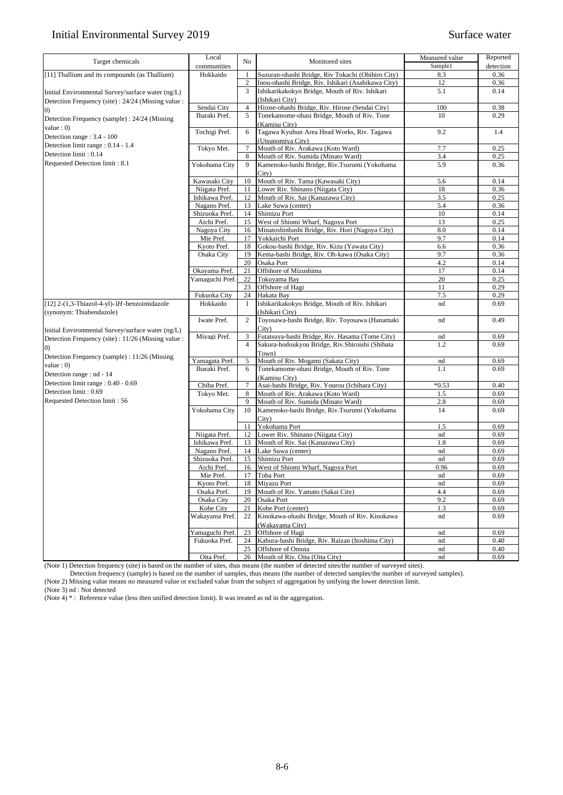| Target chemicals                                                                                         | Local<br>communities | No             | Monitored sites                                              | Measured value<br>Sample1 | Reported<br>detection |
|----------------------------------------------------------------------------------------------------------|----------------------|----------------|--------------------------------------------------------------|---------------------------|-----------------------|
| [11] Thallium and its compounds (as Thallium)                                                            | Hokkaido             | $\mathbf{1}$   | Suzuran-ohashi Bridge, Riv Tokachi (Obihiro City)            | 8.3                       | 0.36                  |
|                                                                                                          |                      | $\overline{c}$ | Inou-ohashi Bridge, Riv. Ishikari (Asahikawa City)           | 12                        | 0.36                  |
|                                                                                                          |                      | 3              | Ishikarikakokyo Bridge, Mouth of Riv. Ishikari               | 5.1                       | 0.14                  |
| Initial Environmental Survey/surface water (ng/L)<br>Detection Frequency (site) : 24/24 (Missing value : |                      |                | (Ishikari City)                                              |                           |                       |
|                                                                                                          | Sendai City          | $\overline{4}$ | Hirose-ohashi Bridge, Riv. Hirose (Sendai City)              | 100                       | 0.38                  |
| (0)                                                                                                      | Ibaraki Pref.        | 5              | Tonekamome-ohasi Bridge, Mouth of Riv. Tone                  | 10                        | 0.29                  |
| Detection Frequency (sample): 24/24 (Missing                                                             |                      |                | (Kamisu City)                                                |                           |                       |
| value : $0$ )                                                                                            | Tochigi Pref.        | 6              | Tagawa Kyubun Area Head Works, Riv. Tagawa                   | 9.2                       | 1.4                   |
| Detection range: 3.4 - 100                                                                               |                      |                | (Utsunomiya City)                                            |                           |                       |
| Detection limit range : 0.14 - 1.4                                                                       | Tokyo Met.           | $\tau$         | Mouth of Riv. Arakawa (Koto Ward)                            | 7.7                       | 0.25                  |
| Detection limit: 0.14                                                                                    |                      | 8              | Mouth of Riv. Sumida (Minato Ward)                           | 3.4                       | 0.25                  |
| Requested Detection limit: 8.1                                                                           | Yokohama City        | 9              | Kamenoko-bashi Bridge, Riv.Tsurumi (Yokohama                 | 5.9                       | 0.36                  |
|                                                                                                          |                      |                | City)                                                        |                           |                       |
|                                                                                                          | Kawasaki City        | 10             | Mouth of Riv. Tama (Kawasaki City)                           | 5.6                       | 0.14                  |
|                                                                                                          | Niigata Pref.        | 11             | Lower Riv. Shinano (Niigata City)                            | 18                        | 0.36                  |
|                                                                                                          | Ishikawa Pref.       | 12             | Mouth of Riv. Sai (Kanazawa City)                            | 3.5                       | 0.25                  |
|                                                                                                          | Nagano Pref.         | 13             | Lake Suwa (center)                                           | 5.4                       | 0.36                  |
|                                                                                                          | Shizuoka Pref.       | 14             | Shimizu Port                                                 | 10                        | 0.14                  |
|                                                                                                          | Aichi Pref.          | 15             | West of Shiomi Wharf, Nagoya Port                            | 13                        | 0.25                  |
|                                                                                                          | Nagoya City          | 16             | Minatoshinbashi Bridge, Riv. Hori (Nagoya City)              | 8.0                       | 0.14                  |
|                                                                                                          | Mie Pref.            | 17             | Yokkaichi Port                                               | 9.7                       | 0.14                  |
|                                                                                                          | Kyoto Pref.          | 18             | Gokou-bashi Bridge, Riv. Kizu (Yawata City)                  | 6.6                       | 0.36                  |
|                                                                                                          | Osaka City           | 19             | Kema-bashi Bridge, Riv. Oh-kawa (Osaka City)                 | 9.7                       | 0.36                  |
|                                                                                                          |                      | 20             | Osaka Port                                                   | 4.2                       | 0.14                  |
|                                                                                                          | Okayama Pref.        | 21             | Offshore of Mizushima                                        | 17                        | 0.14                  |
|                                                                                                          | Yamaguchi Pref.      | 22             | Tokuyama Bay                                                 | 20                        | 0.25                  |
|                                                                                                          |                      | 23             | Offshore of Hagi                                             | 11                        | 0.29                  |
|                                                                                                          | Fukuoka City         | 24             | Hakata Bay<br>Ishikarikakokyo Bridge, Mouth of Riv. Ishikari | 7.5                       | 0.29                  |
| [12] $2-(1,3-Thiazol-4-yl)-1H$ -benzoimidazole                                                           | Hokkaido             | $\mathbf{1}$   |                                                              | nd                        | 0.69                  |
| (synonym: Thiabendazole)                                                                                 |                      |                | (Ishikari City)                                              |                           |                       |
|                                                                                                          | Iwate Pref.          | $\overline{c}$ | Toyosawa-bashi Bridge, Riv. Toyosawa (Hanamaki               | nd                        | 0.49                  |
| Initial Environmental Survey/surface water (ng/L)                                                        | Miyagi Pref.         | 3              | City)<br>Futatsuya-bashi Bridge, Riv. Hasama (Tome City)     | nd                        | 0.69                  |
| Detection Frequency (site) : 11/26 (Missing value :                                                      |                      | $\overline{4}$ | Sakura-hodoukyou Bridge, Riv.Shiroishi (Shibata              | 1.2                       | 0.69                  |
| (0)                                                                                                      |                      |                | Town)                                                        |                           |                       |
| Detection Frequency (sample) : 11/26 (Missing                                                            | Yamagata Pref.       | 5              | Mouth of Riv. Mogami (Sakata City)                           | nd                        | 0.69                  |
| value : $0$ )                                                                                            | Ibaraki Pref.        | 6              | Tonekamome-ohasi Bridge, Mouth of Riv. Tone                  | 1.1                       | 0.69                  |
| Detection range : nd - 14                                                                                |                      |                | (Kamisu City)                                                |                           |                       |
| Detection limit range : 0.40 - 0.69                                                                      | Chiba Pref.          | $\overline{7}$ | Asai-bashi Bridge, Riv. Yourou (Ichihara City)               | $*0.53$                   | 0.40                  |
| Detection limit: 0.69                                                                                    | Tokyo Met.           | 8              | Mouth of Riv. Arakawa (Koto Ward)                            | 1.5                       | 0.69                  |
| Requested Detection limit: 56                                                                            |                      | 9              | Mouth of Riv. Sumida (Minato Ward)                           | 2.8                       | 0.69                  |
|                                                                                                          | Yokohama City        | 10             | Kamenoko-bashi Bridge, Riv.Tsurumi (Yokohama                 | 14                        | 0.69                  |
|                                                                                                          |                      |                | City)                                                        |                           |                       |
|                                                                                                          |                      | 11             | Yokohama Port                                                | 1.5                       | 0.69                  |
|                                                                                                          | Niigata Pref.        | 12             | Lower Riv. Shinano (Niigata City)                            | nd                        | 0.69                  |
|                                                                                                          | Ishikawa Pref.       | 13             | Mouth of Riv. Sai (Kanazawa City)                            | 1.8                       | 0.69                  |
|                                                                                                          | Nagano Pref.         | 14             | Lake Suwa (center)                                           | nd                        | 0.69                  |
|                                                                                                          | Shizuoka Pref.       | 15             | Shimizu Port                                                 | nd                        | 0.69                  |
|                                                                                                          | Aichi Pref.          | 16             | West of Shiomi Wharf, Nagoya Port                            | 0.96                      | 0.69                  |
|                                                                                                          | Mie Pref.            |                | 17 Toba Port                                                 | nd                        | 0.69                  |
|                                                                                                          | Kyoto Pref.          | 18             | Miyazu Port                                                  | nd                        | 0.69                  |
|                                                                                                          | Osaka Pref.          | 19             | Mouth of Riv. Yamato (Sakai City)                            | 4.4                       | 0.69                  |
|                                                                                                          | Osaka City           | 20             | Osaka Port                                                   | 9.2                       | 0.69                  |
|                                                                                                          | Kobe City            | 21             | Kobe Port (center)                                           | 1.3                       | 0.69                  |
|                                                                                                          | Wakayama Pref.       | 22             | Kinokawa-ohashi Bridge, Mouth of Riv. Kinokawa               | nd                        | 0.69                  |
|                                                                                                          |                      |                | (Wakayama City)                                              |                           |                       |
|                                                                                                          | Yamaguchi Pref.      | 23             | Offshore of Hagi                                             | nd                        | 0.69                  |
|                                                                                                          | Fukuoka Pref.        | 24             | Kabura-bashi Bridge, Riv. Raizan (Itoshima City)             | nd                        | 0.40                  |
|                                                                                                          |                      | 25             | Offshore of Omuta                                            | nd                        | 0.40                  |
|                                                                                                          | Oita Pref.           | 26             | Mouth of Riv. Oita (Oita City)                               | nd                        | 0.69                  |

(Note 1) Detection frequency (site) is based on the number of sites, thus means (the number of detected sites/the number of surveyed sites).

Detection frequency (sample) is based on the number of samples, thus means (the number of detected samples/the number of surveyed samples).

(Note 2) Missing value means no measured value or excluded value from the subject of aggregation by unifying the lower detection limit.

(Note 3) nd : Not detected

(Note 4) \* : Reference value (less then unified detection limit). It was treated as nd in the aggregation.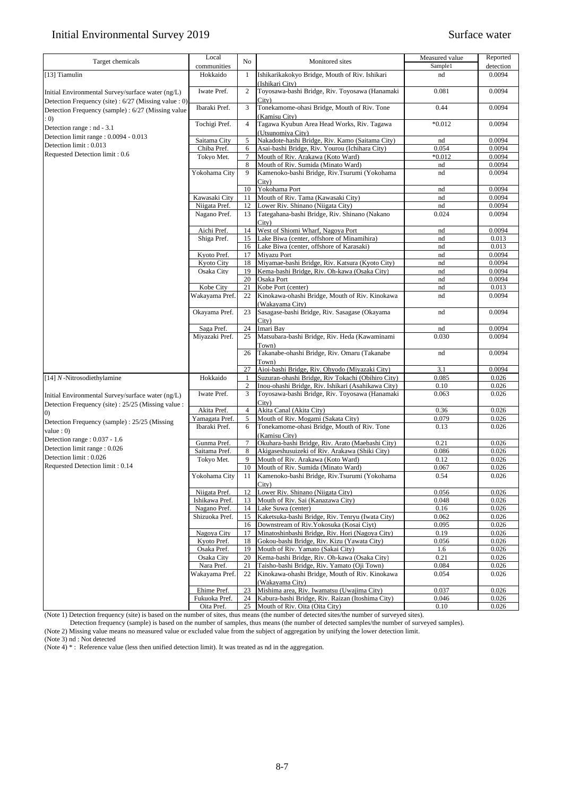|                                                       | Local          |                  |                                                    | Measured value | Reported  |
|-------------------------------------------------------|----------------|------------------|----------------------------------------------------|----------------|-----------|
| Target chemicals                                      | communities    | No               | Monitored sites                                    | Sample1        | detection |
| [13] Tiamulin                                         | Hokkaido       | 1                | Ishikarikakokyo Bridge, Mouth of Riv. Ishikari     | nd             | 0.0094    |
|                                                       |                |                  | (Ishikari City)                                    |                |           |
|                                                       | Iwate Pref.    | $\overline{c}$   | Toyosawa-bashi Bridge, Riv. Toyosawa (Hanamaki     | 0.081          | 0.0094    |
| Initial Environmental Survey/surface water (ng/L)     |                |                  |                                                    |                |           |
| Detection Frequency (site) : 6/27 (Missing value : 0) |                |                  | City)                                              |                |           |
| Detection Frequency (sample): 6/27 (Missing value)    | Ibaraki Pref.  | 3                | Tonekamome-ohasi Bridge, Mouth of Riv. Tone        | 0.44           | 0.0094    |
| : 0)                                                  |                |                  | (Kamisu City)                                      |                |           |
| Detection range : nd - 3.1                            | Tochigi Pref.  | $\overline{4}$   | Tagawa Kyubun Area Head Works, Riv. Tagawa         | $*0.012$       | 0.0094    |
| Detection limit range : 0.0094 - 0.013                |                |                  | (Utsunomiya City)                                  |                |           |
| Detection limit: 0.013                                | Saitama City   | 5                | Nakadote-hashi Bridge, Riv. Kamo (Saitama City)    | nd             | 0.0094    |
|                                                       | Chiba Pref.    | 6                | Asai-bashi Bridge, Riv. Yourou (Ichihara City)     | 0.054          | 0.0094    |
| Requested Detection limit: 0.6                        | Tokyo Met.     | $\boldsymbol{7}$ | Mouth of Riv. Arakawa (Koto Ward)                  | $*0.012$       | 0.0094    |
|                                                       |                | 8                | Mouth of Riv. Sumida (Minato Ward)                 | nd             | 0.0094    |
|                                                       | Yokohama City  | 9                | Kamenoko-bashi Bridge, Riv.Tsurumi (Yokohama       | nd             | 0.0094    |
|                                                       |                |                  | City)                                              |                |           |
|                                                       |                | 10               | Yokohama Port                                      | nd             | 0.0094    |
|                                                       | Kawasaki City  | 11               | Mouth of Riv. Tama (Kawasaki City)                 | nd             | 0.0094    |
|                                                       | Niigata Pref.  | 12               | Lower Riv. Shinano (Niigata City)                  | nd             | 0.0094    |
|                                                       | Nagano Pref.   | 13               | Tategahana-bashi Bridge, Riv. Shinano (Nakano      | 0.024          | 0.0094    |
|                                                       |                |                  | City)                                              |                |           |
|                                                       | Aichi Pref.    | 14               | West of Shiomi Wharf, Nagoya Port                  | nd             | 0.0094    |
|                                                       |                |                  |                                                    |                |           |
|                                                       | Shiga Pref.    | 15               | Lake Biwa (center, offshore of Minamihira)         | nd             | 0.013     |
|                                                       |                | 16               | Lake Biwa (center, offshore of Karasaki)           | nd             | 0.013     |
|                                                       | Kyoto Pref.    | 17               | Miyazu Port                                        | nd             | 0.0094    |
|                                                       | Kyoto City     | 18               | Miyamae-bashi Bridge, Riv. Katsura (Kyoto City)    | nd             | 0.0094    |
|                                                       | Osaka City     | 19               | Kema-bashi Bridge, Riv. Oh-kawa (Osaka City)       | nd             | 0.0094    |
|                                                       |                | 20               | Osaka Port                                         | nd             | 0.0094    |
|                                                       | Kobe City      | 21               | Kobe Port (center)                                 | nd             | 0.013     |
|                                                       | Wakayama Pref. | 22               | Kinokawa-ohashi Bridge, Mouth of Riv. Kinokawa     | nd             | 0.0094    |
|                                                       |                |                  | (Wakavama City)                                    |                |           |
|                                                       | Okayama Pref.  | 23               | Sasagase-bashi Bridge, Riv. Sasagase (Okayama      | nd             | 0.0094    |
|                                                       |                |                  | City)                                              |                |           |
|                                                       | Saga Pref.     | 24               | Imari Bay                                          | nd             | 0.0094    |
|                                                       | Miyazaki Pref. | 25               | Matsubara-bashi Bridge, Riv. Heda (Kawaminami      | 0.030          | 0.0094    |
|                                                       |                |                  | Town)                                              |                |           |
|                                                       |                | 26               | Takanabe-ohashi Bridge, Riv. Omaru (Takanabe       | nd             | 0.0094    |
|                                                       |                |                  | Town)                                              |                |           |
|                                                       |                | 27               | Aioi-bashi Bridge, Riv. Ohyodo (Miyazaki City)     | 3.1            | 0.0094    |
|                                                       |                |                  | Suzuran-ohashi Bridge, Riv Tokachi (Obihiro City)  |                |           |
| [14] N-Nitrosodiethylamine                            | Hokkaido       | $\mathbf{1}$     |                                                    | 0.085          | 0.026     |
|                                                       |                | $\sqrt{2}$       | Inou-ohashi Bridge, Riv. Ishikari (Asahikawa City) | 0.10           | 0.026     |
| Initial Environmental Survey/surface water (ng/L)     | Iwate Pref.    | 3                | Toyosawa-bashi Bridge, Riv. Toyosawa (Hanamaki     | 0.063          | 0.026     |
| Detection Frequency (site) : 25/25 (Missing value :   |                |                  | City)                                              |                |           |
| $\left( 0\right)$                                     | Akita Pref.    | $\overline{4}$   | Akita Canal (Akita City)                           | 0.36           | 0.026     |
| Detection Frequency (sample) : 25/25 (Missing         | Yamagata Pref. | 5                | Mouth of Riv. Mogami (Sakata City)                 | 0.079          | 0.026     |
| value $: 0)$                                          | Ibaraki Pref.  | 6                | Tonekamome-ohasi Bridge, Mouth of Riv. Tone        | 0.13           | 0.026     |
| Detection range: 0.037 - 1.6                          |                |                  | (Kamisu City)                                      |                |           |
|                                                       | Gunma Pref.    | $\overline{7}$   | Okuhara-bashi Bridge, Riv. Arato (Maebashi City)   | 0.21           | 0.026     |
| Detection limit range: 0.026                          | Saitama Pref.  | 8                | Akigaseshusuizeki of Riv. Arakawa (Shiki City)     | 0.086          | 0.026     |
| Detection limit: 0.026                                | Tokyo Met.     | 9                | Mouth of Riv. Arakawa (Koto Ward)                  | 0.12           | 0.026     |
| Requested Detection limit: 0.14                       |                | 10               | Mouth of Riv. Sumida (Minato Ward)                 | 0.067          | 0.026     |
|                                                       | Yokohama City  | 11               | Kamenoko-bashi Bridge, Riv.Tsurumi (Yokohama       | 0.54           | 0.026     |
|                                                       |                |                  | City)                                              |                |           |
|                                                       | Niigata Pref.  | 12               | Lower Riv. Shinano (Niigata City)                  | 0.056          | 0.026     |
|                                                       | Ishikawa Pref. | 13               | Mouth of Riv. Sai (Kanazawa City)                  | 0.048          | 0.026     |
|                                                       | Nagano Pref.   | 14               | Lake Suwa (center)                                 | 0.16           | 0.026     |
|                                                       | Shizuoka Pref. | 15               | Kaketsuka-bashi Bridge, Riv. Tenryu (Iwata City)   | 0.062          | 0.026     |
|                                                       |                |                  |                                                    |                |           |
|                                                       |                | 16               | Downstream of Riv. Yokosuka (Kosai Ciyt)           | 0.095          | 0.026     |
|                                                       | Nagoya City    | 17               | Minatoshinbashi Bridge, Riv. Hori (Nagoya City)    | 0.19           | 0.026     |
|                                                       | Kyoto Pref.    | 18               | Gokou-bashi Bridge, Riv. Kizu (Yawata City)        | 0.056          | 0.026     |
|                                                       | Osaka Pref.    | 19               | Mouth of Riv. Yamato (Sakai City)                  | 1.6            | 0.026     |
|                                                       | Osaka City     | 20               | Kema-bashi Bridge, Riv. Oh-kawa (Osaka City)       | 0.21           | 0.026     |
|                                                       | Nara Pref.     | 21               | Taisho-bashi Bridge, Riv. Yamato (Oji Town)        | 0.084          | 0.026     |
|                                                       | Wakayama Pref. | 22               | Kinokawa-ohashi Bridge, Mouth of Riv. Kinokawa     | 0.054          | 0.026     |
|                                                       |                |                  | (Wakayama City)                                    |                |           |
|                                                       | Ehime Pref.    | 23               | Mishima area, Riv. Iwamatsu (Uwajima City)         | 0.037          | 0.026     |
|                                                       | Fukuoka Pref.  | 24               | Kabura-bashi Bridge, Riv. Raizan (Itoshima City)   | 0.046          | 0.026     |
|                                                       | Oita Pref.     | 25               | Mouth of Riv. Oita (Oita City)                     | 0.10           | 0.026     |

(Note 1) Detection frequency (site) is based on the number of sites, thus means (the number of detected sites/the number of surveyed sites).

Detection frequency (sample) is based on the number of samples, thus means (the number of detected samples/the number of surveyed samples).

(Note 2) Missing value means no measured value or excluded value from the subject of aggregation by unifying the lower detection limit.

(Note 3) nd : Not detected

(Note 4) \*: Reference value (less then unified detection limit). It was treated as nd in the aggregation.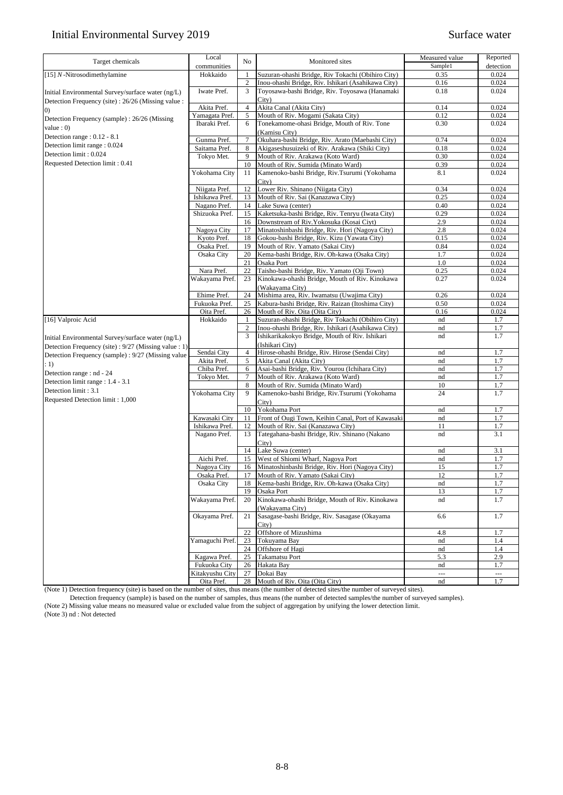| Target chemicals                                                                                       | Local<br>communities       | No                    | Monitored sites                                                                                      | Measured value<br>Sample1 | Reported<br>detection    |
|--------------------------------------------------------------------------------------------------------|----------------------------|-----------------------|------------------------------------------------------------------------------------------------------|---------------------------|--------------------------|
| [15] $N$ -Nitrosodimethylamine                                                                         | Hokkaido                   | -1                    | Suzuran-ohashi Bridge, Riv Tokachi (Obihiro City)                                                    | 0.35                      | 0.024                    |
|                                                                                                        |                            | $\overline{2}$        | Inou-ohashi Bridge, Riv. Ishikari (Asahikawa City)                                                   | 0.16                      | 0.024                    |
| Initial Environmental Survey/surface water (ng/L)<br>Detection Frequency (site): 26/26 (Missing value: | Iwate Pref.                | 3                     | Toyosawa-bashi Bridge, Riv. Toyosawa (Hanamaki<br>City)                                              | 0.18                      | 0.024                    |
| (0)                                                                                                    | Akita Pref.                | $\overline{4}$        | Akita Canal (Akita City)                                                                             | 0.14                      | 0.024                    |
| Detection Frequency (sample): 26/26 (Missing)                                                          | Yamagata Pref.             | 5                     | Mouth of Riv. Mogami (Sakata City)                                                                   | 0.12                      | 0.024                    |
| value : $0$ )                                                                                          | Ibaraki Pref.              | 6                     | Tonekamome-ohasi Bridge, Mouth of Riv. Tone<br>(Kamisu City)                                         | 0.30                      | 0.024                    |
| Detection range: 0.12 - 8.1                                                                            | Gunma Pref.                | $\boldsymbol{7}$      | Okuhara-bashi Bridge, Riv. Arato (Maebashi City)                                                     | 0.74                      | 0.024                    |
| Detection limit range: 0.024                                                                           | Saitama Pref.              | 8                     | Akigaseshusuizeki of Riv. Arakawa (Shiki City)                                                       | 0.18                      | 0.024                    |
| Detection limit: 0.024                                                                                 | Tokyo Met.                 | 9                     | Mouth of Riv. Arakawa (Koto Ward)                                                                    | 0.30                      | 0.024                    |
| Requested Detection limit: 0.41                                                                        |                            | 10                    | Mouth of Riv. Sumida (Minato Ward)                                                                   | 0.39                      | 0.024                    |
|                                                                                                        | Yokohama City              | 11                    | Kamenoko-bashi Bridge, Riv.Tsurumi (Yokohama<br>City)                                                | 8.1                       | 0.024                    |
|                                                                                                        | Niigata Pref.              | 12                    | Lower Riv. Shinano (Niigata City)                                                                    | 0.34                      | 0.024                    |
|                                                                                                        | Ishikawa Pref.             | 13                    | Mouth of Riv. Sai (Kanazawa City)                                                                    | 0.25                      | 0.024                    |
|                                                                                                        | Nagano Pref.               | 14                    | Lake Suwa (center)                                                                                   | 0.40                      | 0.024                    |
|                                                                                                        | Shizuoka Pref.             | 15                    | Kaketsuka-bashi Bridge, Riv. Tenryu (Iwata City)                                                     | 0.29                      | 0.024                    |
|                                                                                                        |                            | 16                    | Downstream of Riv. Yokosuka (Kosai Ciyt)                                                             | 2.9                       | 0.024                    |
|                                                                                                        | Nagoya City                | 17                    | Minatoshinbashi Bridge, Riv. Hori (Nagoya City)<br>Gokou-bashi Bridge, Riv. Kizu (Yawata City)       | 2.8                       | 0.024<br>0.024           |
|                                                                                                        | Kyoto Pref.<br>Osaka Pref. | 18<br>19              | Mouth of Riv. Yamato (Sakai City)                                                                    | 0.15<br>0.84              | 0.024                    |
|                                                                                                        | Osaka City                 | 20                    | Kema-bashi Bridge, Riv. Oh-kawa (Osaka City)                                                         | 1.7                       | 0.024                    |
|                                                                                                        |                            | 21                    | Osaka Port                                                                                           | 1.0                       | 0.024                    |
|                                                                                                        | Nara Pref.                 | 22                    | Taisho-bashi Bridge, Riv. Yamato (Oji Town)                                                          | 0.25                      | 0.024                    |
|                                                                                                        | Wakayama Pref.             | 23                    | Kinokawa-ohashi Bridge, Mouth of Riv. Kinokawa                                                       | 0.27                      | 0.024                    |
|                                                                                                        |                            |                       | (Wakayama City)                                                                                      |                           |                          |
|                                                                                                        | Ehime Pref.                | 24                    | Mishima area, Riv. Iwamatsu (Uwajima City)                                                           | 0.26                      | 0.024                    |
|                                                                                                        | Fukuoka Pref.              | 25                    | Kabura-bashi Bridge, Riv. Raizan (Itoshima City)                                                     | 0.50                      | 0.024                    |
|                                                                                                        | Oita Pref.                 | 26                    | Mouth of Riv. Oita (Oita City)                                                                       | 0.16                      | 0.024                    |
| [16] Valproic Acid                                                                                     | Hokkaido                   | $\mathbf{1}$          | Suzuran-ohashi Bridge, Riv Tokachi (Obihiro City)                                                    | nd                        | 1.7                      |
|                                                                                                        |                            | $\boldsymbol{2}$<br>3 | Inou-ohashi Bridge, Riv. Ishikari (Asahikawa City)<br>Ishikarikakokyo Bridge, Mouth of Riv. Ishikari | nd<br>nd                  | 1.7<br>1.7               |
| Initial Environmental Survey/surface water (ng/L)                                                      |                            |                       | (Ishikari City)                                                                                      |                           |                          |
| Detection Frequency (site) : 9/27 (Missing value : 1)                                                  | Sendai City                | $\overline{4}$        | Hirose-ohashi Bridge, Riv. Hirose (Sendai City)                                                      | nd                        | 1.7                      |
| Detection Frequency (sample) : 9/27 (Missing value)                                                    | Akita Pref.                | 5                     | Akita Canal (Akita City)                                                                             | nd                        | 1.7                      |
| : 1)                                                                                                   | Chiba Pref.                | 6                     | Asai-bashi Bridge, Riv. Yourou (Ichihara City)                                                       | nd                        | 1.7                      |
| Detection range : nd - 24                                                                              | Tokyo Met.                 | $\tau$                | Mouth of Riv. Arakawa (Koto Ward)                                                                    | nd                        | 1.7                      |
| Detection limit range : 1.4 - 3.1                                                                      |                            | 8                     | Mouth of Riv. Sumida (Minato Ward)                                                                   | 10                        | 1.7                      |
| Detection limit: 3.1<br>Requested Detection limit: 1,000                                               | Yokohama City              | 9                     | Kamenoko-bashi Bridge, Riv.Tsurumi (Yokohama<br>City)                                                | 24                        | 1.7                      |
|                                                                                                        |                            | 10                    | Yokohama Port                                                                                        | nd                        | 1.7                      |
|                                                                                                        | Kawasaki City              | 11                    | Front of Ougi Town, Keihin Canal, Port of Kawasaki                                                   | nd                        | 1.7                      |
|                                                                                                        | Ishikawa Pref.             | 12                    | Mouth of Riv. Sai (Kanazawa City)                                                                    | 11                        | 1.7                      |
|                                                                                                        | Nagano Pref.               | 13                    | Tategahana-bashi Bridge, Riv. Shinano (Nakano<br>City)                                               | nd                        | 3.1                      |
|                                                                                                        |                            | 14                    | Lake Suwa (center)                                                                                   | nd                        | 3.1                      |
|                                                                                                        | Aichi Pref.                | 15                    | West of Shiomi Wharf, Nagoya Port                                                                    | nd                        | 1.7                      |
|                                                                                                        | Nagoya City                | 16                    | Minatoshinbashi Bridge, Riv. Hori (Nagoya City)                                                      | 15                        | 1.7                      |
|                                                                                                        | Osaka Pref.                | 17                    | Mouth of Riv. Yamato (Sakai City)                                                                    | 12                        | 1.7                      |
|                                                                                                        | Osaka City                 | 18                    | Kema-bashi Bridge, Riv. Oh-kawa (Osaka City)                                                         | nd                        | 1.7                      |
|                                                                                                        |                            | 19                    | Osaka Port                                                                                           | 13                        | 1.7                      |
|                                                                                                        | Wakayama Pref.             | 20                    | Kinokawa-ohashi Bridge, Mouth of Riv. Kinokawa<br>(Wakavama City)                                    | nd                        | 1.7                      |
|                                                                                                        | Okayama Pref.              | 21                    | Sasagase-bashi Bridge, Riv. Sasagase (Okayama<br>City)                                               | 6.6                       | 1.7                      |
|                                                                                                        |                            | 22                    | Offshore of Mizushima                                                                                | 4.8                       | 1.7                      |
|                                                                                                        | Yamaguchi Pref.            | 23                    | Tokuyama Bay                                                                                         | nd                        | 1.4                      |
|                                                                                                        |                            | 24                    | Offshore of Hagi                                                                                     | nd                        | 1.4                      |
|                                                                                                        | Kagawa Pref.               | 25                    | Takamatsu Port                                                                                       | 5.3                       | 2.9                      |
|                                                                                                        | Fukuoka City               | 26                    | Hakata Bay                                                                                           | nd                        | 1.7                      |
|                                                                                                        | Kitakyushu City            | 27                    | Dokai Bay                                                                                            | $\hspace{0.05cm} \ldots$  | $\hspace{0.05cm} \ldots$ |
|                                                                                                        | Oita Pref.                 | 28                    | Mouth of Riv. Oita (Oita City)                                                                       | nd                        | 1.7                      |

(Note 1) Detection frequency (site) is based on the number of sites, thus means (the number of detected sites/the number of surveyed sites).

 Detection frequency (sample) is based on the number of samples, thus means (the number of detected samples/the number of surveyed samples). (Note 2) Missing value means no measured value or excluded value from the subject of aggregation by unifying the lower detection limit.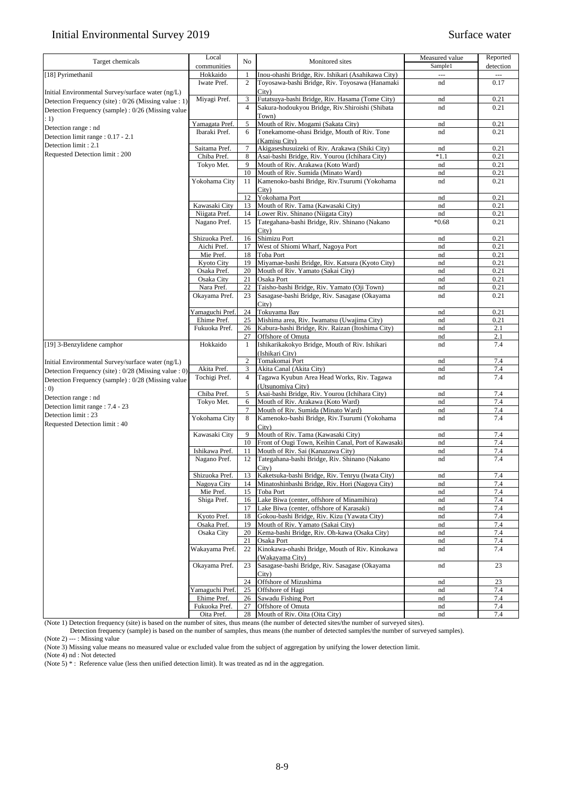|                                                           | Local                     |                |                                                                                   | Measured value | Reported       |
|-----------------------------------------------------------|---------------------------|----------------|-----------------------------------------------------------------------------------|----------------|----------------|
| Target chemicals                                          | communities               | No             | Monitored sites                                                                   | Sample1        | detection      |
| [18] Pyrimethanil                                         | Hokkaido                  | $\mathbf{1}$   | Inou-ohashi Bridge, Riv. Ishikari (Asahikawa City)                                | $\overline{a}$ | $\overline{a}$ |
| Initial Environmental Survey/surface water (ng/L)         | Iwate Pref.               | $\overline{c}$ | Toyosawa-bashi Bridge, Riv. Toyosawa (Hanamaki<br>City)                           | nd             | 0.17           |
| Detection Frequency (site): 0/26 (Missing value: 1)       | Miyagi Pref.              | 3              | Futatsuya-bashi Bridge, Riv. Hasama (Tome City)                                   | nd             | 0.21           |
| Detection Frequency (sample): 0/26 (Missing value)        |                           | $\overline{4}$ | Sakura-hodoukyou Bridge, Riv.Shiroishi (Shibata<br>Town)                          | nd             | 0.21           |
| : 1)                                                      | Yamagata Pref.            | 5              | Mouth of Riv. Mogami (Sakata City)                                                | nd             | 0.21           |
| Detection range : nd                                      | Ibaraki Pref.             | 6              | Tonekamome-ohasi Bridge, Mouth of Riv. Tone                                       | nd             | 0.21           |
| Detection limit range : 0.17 - 2.1                        |                           |                | (Kamisu City)                                                                     |                |                |
| Detection limit: 2.1                                      | Saitama Pref.             | $\tau$         | Akigaseshusuizeki of Riv. Arakawa (Shiki City)                                    | nd             | 0.21           |
| Requested Detection limit: 200                            | Chiba Pref.               | 8              | Asai-bashi Bridge, Riv. Yourou (Ichihara City)                                    | $*1.1$         | 0.21           |
|                                                           | Tokyo Met.                | 9              | Mouth of Riv. Arakawa (Koto Ward)                                                 | nd             | 0.21           |
|                                                           |                           | 10             | Mouth of Riv. Sumida (Minato Ward)                                                | nd             | 0.21           |
|                                                           | Yokohama City             | 11             | Kamenoko-bashi Bridge, Riv.Tsurumi (Yokohama<br>City)                             | nd             | 0.21           |
|                                                           |                           | 12             | Yokohama Port                                                                     | nd             | 0.21           |
|                                                           | Kawasaki City             | 13             | Mouth of Riv. Tama (Kawasaki City)                                                | nd             | 0.21           |
|                                                           | Niigata Pref.             | 14             | Lower Riv. Shinano (Niigata City)                                                 | nd             | 0.21           |
|                                                           | Nagano Pref.              | 15             | Tategahana-bashi Bridge, Riv. Shinano (Nakano<br>City)                            | $*0.68$        | 0.21           |
|                                                           | Shizuoka Pref.            | 16             | Shimizu Port                                                                      | nd             | 0.21           |
|                                                           | Aichi Pref.               | 17             | West of Shiomi Wharf, Nagoya Port                                                 | nd             | 0.21           |
|                                                           | Mie Pref.                 | 18             | Toba Port                                                                         | nd             | 0.21           |
|                                                           | Kyoto City                | 19             | Miyamae-bashi Bridge, Riv. Katsura (Kyoto City)                                   | nd             | 0.21           |
|                                                           | Osaka Pref.               | 20             | Mouth of Riv. Yamato (Sakai City)                                                 | nd             | 0.21           |
|                                                           | Osaka City                | 21             | Osaka Port                                                                        | nd             | 0.21           |
|                                                           | Nara Pref.                | 22             | Taisho-bashi Bridge, Riv. Yamato (Oji Town)                                       | nd             | 0.21           |
|                                                           | Okayama Pref.             | 23             | Sasagase-bashi Bridge, Riv. Sasagase (Okayama<br>City)                            | nd             | 0.21           |
|                                                           | Yamaguchi Pref            | 24             | Tokuyama Bay                                                                      | nd             | 0.21           |
|                                                           | Ehime Pref.               | 25             | Mishima area, Riv. Iwamatsu (Uwajima City)                                        | nd             | 0.21           |
|                                                           | Fukuoka Pref.             | 26             | Kabura-bashi Bridge, Riv. Raizan (Itoshima City)                                  | nd             | 2.1            |
|                                                           |                           | 27             | Offshore of Omuta                                                                 | nd             | 2.1            |
| [19] 3-Benzylidene camphor                                | Hokkaido                  | $\mathbf{1}$   | Ishikarikakokyo Bridge, Mouth of Riv. Ishikari<br>(Ishikari City)                 | nd             | 7.4            |
| Initial Environmental Survey/surface water (ng/L)         |                           | $\overline{c}$ | Tomakomai Port                                                                    | nd             | 7.4            |
| Detection Frequency (site): 0/28 (Missing value: 0)       | Akita Pref.               | 3              | Akita Canal (Akita City)                                                          | nd             | 7.4            |
| Detection Frequency (sample) : 0/28 (Missing value<br>(0) | Tochigi Pref.             | $\overline{4}$ | Tagawa Kyubun Area Head Works, Riv. Tagawa<br>(Utsunomiya City)                   | nd             | 7.4            |
| Detection range : nd                                      | Chiba Pref.               | 5              | Asai-bashi Bridge, Riv. Yourou (Ichihara City)                                    | nd             | 7.4            |
| Detection limit range : 7.4 - 23                          | Tokyo Met.                | 6              | Mouth of Riv. Arakawa (Koto Ward)                                                 | nd             | 7.4            |
| Detection limit: 23                                       |                           | 7              | Mouth of Riv. Sumida (Minato Ward)                                                | nd             | 7.4            |
| Requested Detection limit: 40                             | Yokohama City             | 8              | Kamenoko-bashi Bridge, Riv.Tsurumi (Yokohama<br>City)                             | nd             | 7.4            |
|                                                           | Kawasaki City             | 9              | Mouth of Riv. Tama (Kawasaki City)                                                | nd             | 7.4            |
|                                                           |                           | 10             | Front of Ougi Town, Keihin Canal, Port of Kawasaki                                | nd             | 7.4            |
|                                                           | Ishikawa Pref.            | 11             | Mouth of Riv. Sai (Kanazawa City)                                                 | nd             | 7.4            |
|                                                           | Nagano Pref.              | 12             | Tategahana-bashi Bridge, Riv. Shinano (Nakano<br>City)                            | nd             | 7.4            |
|                                                           | Shizuoka Pref.            | 13             | Kaketsuka-bashi Bridge, Riv. Tenryu (Iwata City)                                  | nd             | 7.4            |
|                                                           | Nagoya City               | 14             | Minatoshinbashi Bridge, Riv. Hori (Nagoya City)                                   | nd             | 7.4            |
|                                                           | Mie Pref.                 | 15             | <b>Toba Port</b>                                                                  | nd             | 7.4            |
|                                                           | Shiga Pref.               | 16             | Lake Biwa (center, offshore of Minamihira)                                        | nd             | 7.4            |
|                                                           |                           | 17             | Lake Biwa (center, offshore of Karasaki)                                          | nd             | 7.4            |
|                                                           | Kyoto Pref.               | 18             | Gokou-bashi Bridge, Riv. Kizu (Yawata City)                                       | nd             | 7.4            |
|                                                           | Osaka Pref.<br>Osaka City | 19<br>20       | Mouth of Riv. Yamato (Sakai City)<br>Kema-bashi Bridge, Riv. Oh-kawa (Osaka City) | nd             | 7.4<br>7.4     |
|                                                           |                           | 21             | Osaka Port                                                                        | nd<br>nd       | 7.4            |
|                                                           | Wakayama Pref.            | 22             | Kinokawa-ohashi Bridge, Mouth of Riv. Kinokawa<br>(Wakayama City)                 | nd             | 7.4            |
|                                                           | Okayama Pref.             | 23             | Sasagase-bashi Bridge, Riv. Sasagase (Okayama                                     | nd             | 23             |
|                                                           |                           | 24             | City)<br>Offshore of Mizushima                                                    | nd             | 23             |
|                                                           | Yamaguchi Pref.           | 25             | Offshore of Hagi                                                                  | nd             | 7.4            |
|                                                           | Ehime Pref.               | 26             | Sawadu Fishing Port                                                               | nd             | 7.4            |
|                                                           | Fukuoka Pref.             | 27             | Offshore of Omuta                                                                 | nd             | 7.4            |
|                                                           | Oita Pref.                | 28             | Mouth of Riv. Oita (Oita City)                                                    | nd             | 7.4            |

(Note 1) Detection frequency (site) is based on the number of sites, thus means (the number of detected sites/the number of surveyed sites).

Detection frequency (sample) is based on the number of samples, thus means (the number of detected samples/the number of surveyed samples).

(Note 2) --- : Missing value

(Note 3) Missing value means no measured value or excluded value from the subject of aggregation by unifying the lower detection limit.

(Note 4) nd : Not detected

(Note 5) \* : Reference value (less then unified detection limit). It was treated as nd in the aggregation.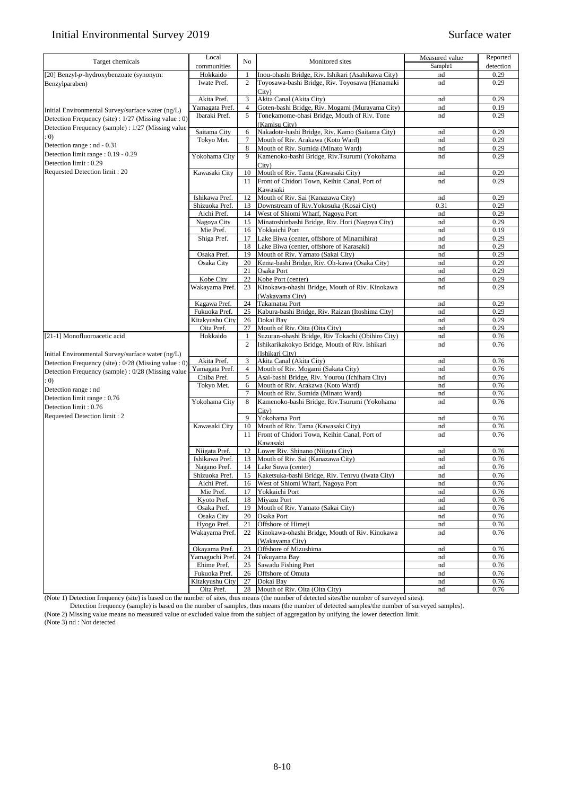| Target chemicals                                      | Local<br>communities | No                             | Monitored sites                                                                                     | Measured value<br>Sample1 | Reported<br>detection |
|-------------------------------------------------------|----------------------|--------------------------------|-----------------------------------------------------------------------------------------------------|---------------------------|-----------------------|
| [20] Benzyl-p-hydroxybenzoate (synonym:               | Hokkaido             | $\mathbf{1}$                   | Inou-ohashi Bridge, Riv. Ishikari (Asahikawa City)                                                  | nd                        | 0.29                  |
| Benzylparaben)                                        | Iwate Pref.          | $\overline{c}$                 | Toyosawa-bashi Bridge, Riv. Toyosawa (Hanamaki<br>City)                                             | nd                        | 0.29                  |
|                                                       | Akita Pref.          | 3                              | Akita Canal (Akita City)                                                                            | nd                        | 0.29                  |
| Initial Environmental Survey/surface water (ng/L)     | Yamagata Pref.       | $\overline{4}$                 | Goten-bashi Bridge, Riv. Mogami (Murayama City)                                                     | nd                        | 0.19                  |
| Detection Frequency (site) : 1/27 (Missing value : 0) | Ibaraki Pref.        | 5                              | Tonekamome-ohasi Bridge, Mouth of Riv. Tone                                                         | nd                        | 0.29                  |
| Detection Frequency (sample) : 1/27 (Missing value    |                      |                                | (Kamisu City)                                                                                       |                           |                       |
| : 0)                                                  | Saitama City         | 6                              | Nakadote-hashi Bridge, Riv. Kamo (Saitama City)                                                     | nd                        | 0.29                  |
| Detection range : nd - 0.31                           | Tokyo Met.           | $\tau$                         | Mouth of Riv. Arakawa (Koto Ward)                                                                   | nd                        | 0.29                  |
| Detection limit range: 0.19 - 0.29                    |                      | 8                              | Mouth of Riv. Sumida (Minato Ward)<br>Kamenoko-bashi Bridge, Riv.Tsurumi (Yokohama                  | nd                        | 0.29                  |
| Detection limit: 0.29                                 | Yokohama City        | 9                              | City)                                                                                               | nd                        | 0.29                  |
| Requested Detection limit: 20                         | Kawasaki City        | 10                             | Mouth of Riv. Tama (Kawasaki City)                                                                  | nd                        | 0.29                  |
|                                                       |                      | 11                             | Front of Chidori Town, Keihin Canal, Port of<br>Kawasaki                                            | nd                        | 0.29                  |
|                                                       | Ishikawa Pref.       | 12                             | Mouth of Riv. Sai (Kanazawa City)                                                                   | nd                        | 0.29                  |
|                                                       | Shizuoka Pref.       | 13                             | Downstream of Riv. Yokosuka (Kosai Ciyt)                                                            | 0.31                      | 0.29                  |
|                                                       | Aichi Pref.          | 14                             | West of Shiomi Wharf, Nagoya Port                                                                   | nd                        | 0.29                  |
|                                                       | Nagoya City          | 15                             | Minatoshinbashi Bridge, Riv. Hori (Nagoya City)                                                     | nd                        | 0.29                  |
|                                                       | Mie Pref.            | 16                             | Yokkaichi Port                                                                                      | nd                        | 0.19                  |
|                                                       | Shiga Pref.          | 17                             | Lake Biwa (center, offshore of Minamihira)                                                          | nd                        | 0.29                  |
|                                                       |                      | 18                             | Lake Biwa (center, offshore of Karasaki)                                                            | nd                        | 0.29                  |
|                                                       | Osaka Pref.          | 19                             | Mouth of Riv. Yamato (Sakai City)                                                                   | nd                        | 0.29                  |
|                                                       | Osaka City           | 20                             | Kema-bashi Bridge, Riv. Oh-kawa (Osaka City)                                                        | nd                        | 0.29                  |
|                                                       |                      | 21                             | Osaka Port                                                                                          | nd                        | 0.29                  |
|                                                       | Kobe City            | 22                             | Kobe Port (center)                                                                                  | nd                        | 0.29                  |
|                                                       | Wakayama Pref.       | 23                             | Kinokawa-ohashi Bridge, Mouth of Riv. Kinokawa<br>(Wakayama City)                                   | nd                        | 0.29                  |
|                                                       | Kagawa Pref.         | 24                             | Takamatsu Port                                                                                      | nd                        | 0.29                  |
|                                                       | Fukuoka Pref.        | 25                             | Kabura-bashi Bridge, Riv. Raizan (Itoshima City)                                                    | nd                        | 0.29                  |
|                                                       | Kitakyushu City      | 26                             | Dokai Bay                                                                                           | nd                        | 0.29                  |
|                                                       | Oita Pref.           | 27                             | Mouth of Riv. Oita (Oita City)                                                                      | nd                        | 0.29                  |
| [21-1] Monofluoroacetic acid                          | Hokkaido             | $\mathbf{1}$<br>$\overline{c}$ | Suzuran-ohashi Bridge, Riv Tokachi (Obihiro City)<br>Ishikarikakokyo Bridge, Mouth of Riv. Ishikari | nd<br>nd                  | 0.76<br>0.76          |
| Initial Environmental Survey/surface water (ng/L)     |                      |                                | (Ishikari City)                                                                                     |                           |                       |
| Detection Frequency (site): 0/28 (Missing value: 0)   | Akita Pref.          | 3                              | Akita Canal (Akita City)                                                                            | nd                        | 0.76                  |
| Detection Frequency (sample) : 0/28 (Missing value    | Yamagata Pref.       | $\overline{4}$                 | Mouth of Riv. Mogami (Sakata City)                                                                  | nd                        | 0.76                  |
| : 0)                                                  | Chiba Pref.          | 5                              | Asai-bashi Bridge, Riv. Yourou (Ichihara City)                                                      | nd                        | 0.76                  |
| Detection range : nd                                  | Tokyo Met.           | 6                              | Mouth of Riv. Arakawa (Koto Ward)                                                                   | nd                        | 0.76                  |
| Detection limit range: 0.76                           |                      | $\overline{7}$                 | Mouth of Riv. Sumida (Minato Ward)                                                                  | nd                        | 0.76                  |
| Detection limit: 0.76                                 | Yokohama City        | 8                              | Kamenoko-bashi Bridge, Riv.Tsurumi (Yokohama<br>City)                                               | nd                        | 0.76                  |
| Requested Detection limit: 2                          |                      | 9                              | Yokohama Port                                                                                       | nd                        | 0.76                  |
|                                                       | Kawasaki City        | 10                             | Mouth of Riv. Tama (Kawasaki City)                                                                  | nd                        | 0.76                  |
|                                                       |                      | 11                             | Front of Chidori Town, Keihin Canal, Port of<br>Kawasaki                                            | nd                        | 0.76                  |
|                                                       | Niigata Pref.        | 12                             | Lower Riv. Shinano (Niigata City)                                                                   | nd                        | 0.76                  |
|                                                       | Ishikawa Pref.       | 13                             | Mouth of Riv. Sai (Kanazawa City)                                                                   | nd                        | 0.76                  |
|                                                       | Nagano Pref.         | 14                             | Lake Suwa (center)                                                                                  | nd                        | 0.76                  |
|                                                       | Shizuoka Pref.       |                                | 15 Kaketsuka-bashi Bridge, Riv. Tenryu (Iwata City)                                                 | $^{\rm nd}$               | 0.76                  |
|                                                       | Aichi Pref.          | 16                             | West of Shiomi Wharf, Nagoya Port                                                                   | nd                        | 0.76                  |
|                                                       | Mie Pref.            | 17                             | Yokkaichi Port                                                                                      | nd                        | 0.76                  |
|                                                       | Kyoto Pref.          | 18                             | Miyazu Port                                                                                         | nd                        | 0.76                  |
|                                                       | Osaka Pref.          | 19                             | Mouth of Riv. Yamato (Sakai City)                                                                   | nd                        | 0.76                  |
|                                                       | Osaka City           | 20                             | Osaka Port                                                                                          | nd                        | 0.76                  |
|                                                       | Hyogo Pref.          | 21                             | Offshore of Himeji<br>Kinokawa-ohashi Bridge, Mouth of Riv. Kinokawa                                | nd                        | 0.76                  |
|                                                       | Wakayama Pref.       | 22                             | (Wakayama City)                                                                                     | nd                        | 0.76                  |
|                                                       | Okayama Pref.        | 23                             | Offshore of Mizushima                                                                               | nd                        | 0.76                  |
|                                                       | Yamaguchi Pref.      | 24                             | Tokuyama Bay                                                                                        | nd                        | 0.76                  |
|                                                       | Ehime Pref.          | 25                             | Sawadu Fishing Port                                                                                 | nd                        | 0.76                  |
|                                                       | Fukuoka Pref.        | 26                             | Offshore of Omuta                                                                                   | nd                        | 0.76                  |
|                                                       | Kitakyushu City      | 27                             | Dokai Bay                                                                                           | nd                        | 0.76                  |
|                                                       | Oita Pref.           | 28                             | Mouth of Riv. Oita (Oita City)                                                                      | nd                        | 0.76                  |

(Note 1) Detection frequency (site) is based on the number of sites, thus means (the number of detected sites/the number of surveyed sites).

Detection frequency (sample) is based on the number of samples, thus means (the number of detected samples/the number of surveyed samples).

(Note 2) Missing value means no measured value or excluded value from the subject of aggregation by unifying the lower detection limit.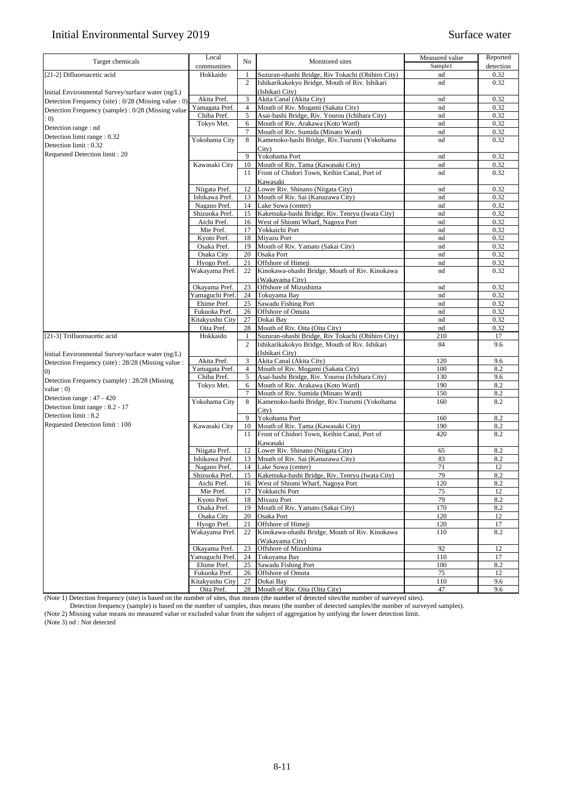| Target chemicals                                    | Local<br>communities      | No                             | Monitored sites                                                                     | Measured value<br>Sample1 | Reported<br>detection |
|-----------------------------------------------------|---------------------------|--------------------------------|-------------------------------------------------------------------------------------|---------------------------|-----------------------|
| [21-2] Difluoroacetic acid                          | Hokkaido                  | $\mathbf{1}$                   | Suzuran-ohashi Bridge, Riv Tokachi (Obihiro City)                                   | nd                        | 0.32                  |
|                                                     |                           | $\overline{c}$                 | Ishikarikakokyo Bridge, Mouth of Riv. Ishikari                                      | nd                        | 0.32                  |
| Initial Environmental Survey/surface water (ng/L)   |                           |                                | (Ishikari City)                                                                     |                           |                       |
| Detection Frequency (site): 0/28 (Missing value: 0) | Akita Pref.               | 3                              | Akita Canal (Akita City)                                                            | nd                        | 0.32                  |
| Detection Frequency (sample) : 0/28 (Missing value  | Yamagata Pref.            | $\overline{4}$                 | Mouth of Riv. Mogami (Sakata City)                                                  | nd                        | 0.32                  |
| : 0)                                                | Chiba Pref.               | 5                              | Asai-bashi Bridge, Riv. Yourou (Ichihara City)                                      | nd                        | 0.32                  |
| Detection range : nd                                | Tokyo Met.                | 6                              | Mouth of Riv. Arakawa (Koto Ward)                                                   | nd                        | 0.32                  |
| Detection limit range: 0.32                         |                           | $\tau$                         | Mouth of Riv. Sumida (Minato Ward)                                                  | nd                        | 0.32                  |
| Detection limit: 0.32                               | Yokohama City             | 8                              | Kamenoko-bashi Bridge, Riv.Tsurumi (Yokohama                                        | nd                        | 0.32                  |
| Requested Detection limit: 20                       |                           | 9                              | City)<br>Yokohama Port                                                              |                           | 0.32                  |
|                                                     | Kawasaki City             | 10                             | Mouth of Riv. Tama (Kawasaki City)                                                  | nd<br>nd                  | 0.32                  |
|                                                     |                           | 11                             | Front of Chidori Town, Keihin Canal, Port of                                        | nd                        | 0.32                  |
|                                                     |                           |                                | Kawasaki                                                                            |                           |                       |
|                                                     | Niigata Pref.             | 12                             | Lower Riv. Shinano (Niigata City)                                                   | nd                        | 0.32                  |
|                                                     | Ishikawa Pref.            | 13                             | Mouth of Riv. Sai (Kanazawa City)                                                   | nd                        | 0.32                  |
|                                                     | Nagano Pref.              | 14                             | Lake Suwa (center)                                                                  | nd                        | 0.32                  |
|                                                     | Shizuoka Pref.            | 15                             | Kaketsuka-bashi Bridge, Riv. Tenryu (Iwata City)                                    | nd                        | 0.32                  |
|                                                     | Aichi Pref.               | 16                             | West of Shiomi Wharf, Nagoya Port                                                   | nd                        | 0.32                  |
|                                                     | Mie Pref.                 | 17                             | Yokkaichi Port                                                                      | nd                        | 0.32                  |
|                                                     | Kyoto Pref.               | 18                             | Miyazu Port                                                                         | nd                        | 0.32                  |
|                                                     | Osaka Pref.               | 19                             | Mouth of Riv. Yamato (Sakai City)                                                   | nd                        | 0.32                  |
|                                                     | Osaka City                | 20                             | Osaka Port                                                                          | nd                        | 0.32                  |
|                                                     | Hyogo Pref.               | 21                             | Offshore of Himeji                                                                  | nd                        | 0.32                  |
|                                                     | Wakayama Pref.            | 22                             | Kinokawa-ohashi Bridge, Mouth of Riv. Kinokawa                                      | nd                        | 0.32                  |
|                                                     |                           |                                | (Wakayama City)                                                                     |                           |                       |
|                                                     | Okayama Pref.             | 23                             | Offshore of Mizushima                                                               | nd                        | 0.32                  |
|                                                     | Yamaguchi Pref.           | 24                             | Tokuyama Bay                                                                        | nd                        | 0.32                  |
|                                                     | Ehime Pref.               | 25                             | Sawadu Fishing Port                                                                 | nd                        | 0.32                  |
|                                                     | Fukuoka Pref.             | 26                             | Offshore of Omuta                                                                   | nd                        | 0.32                  |
|                                                     | Kitakyushu City           | 27                             | Dokai Bay                                                                           | nd                        | 0.32                  |
| [21-3] Trifluoroacetic acid                         | Oita Pref.                | 28                             | Mouth of Riv. Oita (Oita City)<br>Suzuran-ohashi Bridge, Riv Tokachi (Obihiro City) | nd                        | 0.32                  |
|                                                     | Hokkaido                  | $\mathbf{1}$<br>$\overline{c}$ | Ishikarikakokyo Bridge, Mouth of Riv. Ishikari                                      | 210<br>84                 | 17<br>9.6             |
|                                                     |                           |                                | (Ishikari City)                                                                     |                           |                       |
| Initial Environmental Survey/surface water (ng/L)   | Akita Pref.               | 3                              | Akita Canal (Akita City)                                                            | 120                       | 9.6                   |
| Detection Frequency (site) : 28/28 (Missing value : | Yamagata Pref.            | $\overline{4}$                 | Mouth of Riv. Mogami (Sakata City)                                                  | 100                       | 8.2                   |
| $\left( 0\right)$                                   | Chiba Pref.               | 5                              | Asai-bashi Bridge, Riv. Yourou (Ichihara City)                                      | 130                       | 9.6                   |
| Detection Frequency (sample): 28/28 (Missing        | Tokyo Met.                | 6                              | Mouth of Riv. Arakawa (Koto Ward)                                                   | 190                       | 8.2                   |
| value : $0$ )                                       |                           | $\tau$                         | Mouth of Riv. Sumida (Minato Ward)                                                  | 150                       | 8.2                   |
| Detection range: 47 - 420                           | Yokohama City             | 8                              | Kamenoko-bashi Bridge, Riv.Tsurumi (Yokohama                                        | 160                       | 8.2                   |
| Detection limit range : 8.2 - 17                    |                           |                                | City)                                                                               |                           |                       |
| Detection limit: 8.2                                |                           | 9                              | Yokohama Port                                                                       | 160                       | 8.2                   |
| Requested Detection limit: 100                      | Kawasaki City             | 10                             | Mouth of Riv. Tama (Kawasaki City)                                                  | 190                       | 8.2                   |
|                                                     |                           | 11                             | Front of Chidori Town, Keihin Canal, Port of                                        | 420                       | 8.2                   |
|                                                     |                           |                                | Kawasaki                                                                            |                           |                       |
|                                                     | Niigata Pref.             | 12                             | Lower Riv. Shinano (Niigata City)                                                   | 65                        | 8.2                   |
|                                                     | Ishikawa Pref.            | 13                             | Mouth of Riv. Sai (Kanazawa City)                                                   | 83                        | 8.2                   |
|                                                     | Nagano Pref.              | 14                             | Lake Suwa (center)                                                                  | 71                        | 12                    |
|                                                     | Shizuoka Pref.            | 15                             | Kaketsuka-bashi Bridge, Riv. Tenryu (Iwata City)                                    | 79                        | 8.2                   |
|                                                     | Aichi Pref.               | 16                             | West of Shiomi Wharf, Nagoya Port                                                   | 120                       | 8.2                   |
|                                                     | Mie Pref.                 | 17                             | Yokkaichi Port                                                                      | 75                        | 12                    |
|                                                     | Kyoto Pref.               | 18                             | Miyazu Port                                                                         | 79                        | 8.2                   |
|                                                     | Osaka Pref.               | 19                             | Mouth of Riv. Yamato (Sakai City)                                                   | 170                       | 8.2                   |
|                                                     | Osaka City<br>Hyogo Pref. | 20                             | Osaka Port                                                                          | 120                       | 12                    |
|                                                     |                           | 21                             | Offshore of Himeji<br>Kinokawa-ohashi Bridge, Mouth of Riv. Kinokawa                | 120                       | 17                    |
|                                                     | Wakayama Pref.            | 22                             |                                                                                     | 110                       | 8.2                   |
|                                                     | Okayama Pref.             | 23                             | (Wakayama City)<br>Offshore of Mizushima                                            | 92                        | 12                    |
|                                                     | Yamaguchi Pref.           | 24                             | Tokuyama Bay                                                                        | 110                       | 17                    |
|                                                     | Ehime Pref.               | 25                             | Sawadu Fishing Port                                                                 | 100                       | 8.2                   |
|                                                     | Fukuoka Pref.             | 26                             | Offshore of Omuta                                                                   | 75                        | 12                    |
|                                                     | Kitakyushu City           | 27                             | Dokai Bay                                                                           | 110                       | 9.6                   |
|                                                     | Oita Pref.                | 28                             | Mouth of Riv. Oita (Oita City)                                                      | 47                        | 9.6                   |

(Note 1) Detection frequency (site) is based on the number of sites, thus means (the number of detected sites/the number of surveyed sites).

Detection frequency (sample) is based on the number of samples, thus means (the number of detected samples/the number of surveyed samples).

(Note 2) Missing value means no measured value or excluded value from the subject of aggregation by unifying the lower detection limit.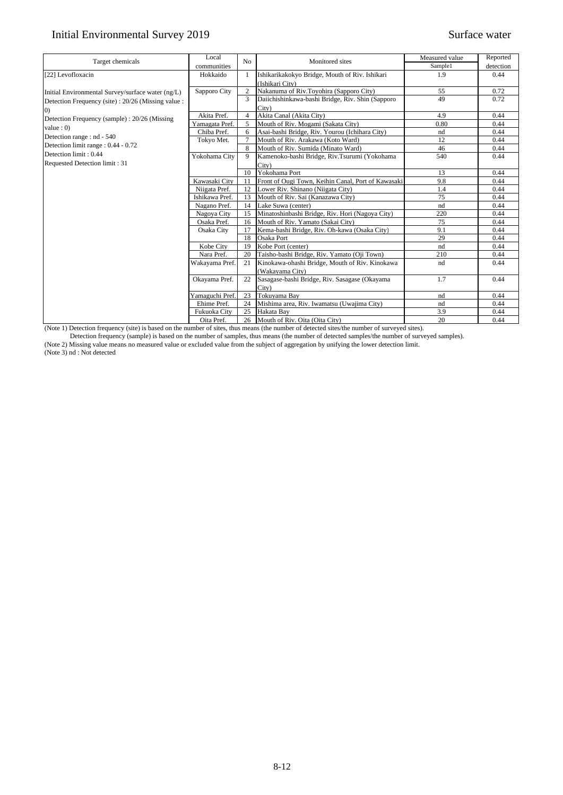| Target chemicals                                  | Local           | N <sub>0</sub> | Monitored sites                                    | Measured value | Reported  |
|---------------------------------------------------|-----------------|----------------|----------------------------------------------------|----------------|-----------|
|                                                   | communities     |                |                                                    | Sample1        | detection |
| [22] Levofloxacin                                 | Hokkaido        |                | Ishikarikakokyo Bridge, Mouth of Riv. Ishikari     | 1.9            | 0.44      |
|                                                   |                 |                | (Ishikari City)                                    |                |           |
| Initial Environmental Survey/surface water (ng/L) | Sapporo City    | 2              | Nakanuma of Riv.Toyohira (Sapporo City)            | 55             | 0.72      |
| Detection Frequency (site): 20/26 (Missing value: |                 | 3              | Daiichishinkawa-bashi Bridge, Riv. Shin (Sapporo)  | 49             | 0.72      |
| $\left( 0\right)$                                 |                 |                | City)                                              |                |           |
| Detection Frequency (sample): 20/26 (Missing      | Akita Pref.     | $\overline{4}$ | Akita Canal (Akita City)                           | 4.9            | 0.44      |
| value : $0$ )                                     | Yamagata Pref.  | 5              | Mouth of Riv. Mogami (Sakata City)                 | 0.80           | 0.44      |
| Detection range : nd - 540                        | Chiba Pref.     | 6              | Asai-bashi Bridge, Riv. Yourou (Ichihara City)     | nd             | 0.44      |
|                                                   | Tokyo Met.      | $\tau$         | Mouth of Riv. Arakawa (Koto Ward)                  | 12             | 0.44      |
| Detection limit range : 0.44 - 0.72               |                 | 8              | Mouth of Riv. Sumida (Minato Ward)                 | 46             | 0.44      |
| Detection limit: 0.44                             | Yokohama City   | 9              | Kamenoko-bashi Bridge, Riv.Tsurumi (Yokohama       | 540            | 0.44      |
| Requested Detection limit: 31                     |                 |                | City)                                              |                |           |
|                                                   |                 | 10             | Yokohama Port                                      | 13             | 0.44      |
|                                                   | Kawasaki City   | 11             | Front of Ougi Town, Keihin Canal, Port of Kawasaki | 9.8            | 0.44      |
|                                                   | Niigata Pref.   | 12             | Lower Riv. Shinano (Niigata City)                  | 1.4            | 0.44      |
|                                                   | Ishikawa Pref.  | 13             | Mouth of Riv. Sai (Kanazawa City)                  | 75             | 0.44      |
|                                                   | Nagano Pref.    | 14             | Lake Suwa (center)                                 | nd             | 0.44      |
|                                                   | Nagoya City     | 15             | Minatoshinbashi Bridge, Riv. Hori (Nagoya City)    | 220            | 0.44      |
|                                                   | Osaka Pref.     | 16             | Mouth of Riv. Yamato (Sakai City)                  | 75             | 0.44      |
|                                                   | Osaka City      | 17             | Kema-bashi Bridge, Riv. Oh-kawa (Osaka City)       | 9.1            | 0.44      |
|                                                   |                 | 18             | Osaka Port                                         | 29             | 0.44      |
|                                                   | Kobe City       | 19             | Kobe Port (center)                                 | nd             | 0.44      |
|                                                   | Nara Pref.      | 20             | Taisho-bashi Bridge, Riv. Yamato (Oji Town)        | 210            | 0.44      |
|                                                   | Wakayama Pref.  | 21             | Kinokawa-ohashi Bridge, Mouth of Riv. Kinokawa     | nd             | 0.44      |
|                                                   |                 |                | (Wakavama City)                                    |                |           |
|                                                   | Okayama Pref.   | 22             | Sasagase-bashi Bridge, Riv. Sasagase (Okayama      | 1.7            | 0.44      |
|                                                   |                 |                | City)                                              |                |           |
|                                                   | Yamaguchi Pref. | 23             | Tokuvama Bav                                       | nd             | 0.44      |
|                                                   | Ehime Pref.     | 24             | Mishima area, Riv. Iwamatsu (Uwajima City)         | nd             | 0.44      |
|                                                   | Fukuoka City    | 25             | Hakata Bay                                         | 3.9            | 0.44      |
|                                                   | Oita Pref.      |                | 26 Mouth of Riv. Oita (Oita City)                  | 20             | 0.44      |

(Note 1) Detection frequency (site) is based on the number of sites, thus means (the number of detected sites/the number of surveyed sites).

Detection frequency (sample) is based on the number of samples, thus means (the number of detected samples/the number of surveyed samples).

(Note 2) Missing value means no measured value or excluded value from the subject of aggregation by unifying the lower detection limit.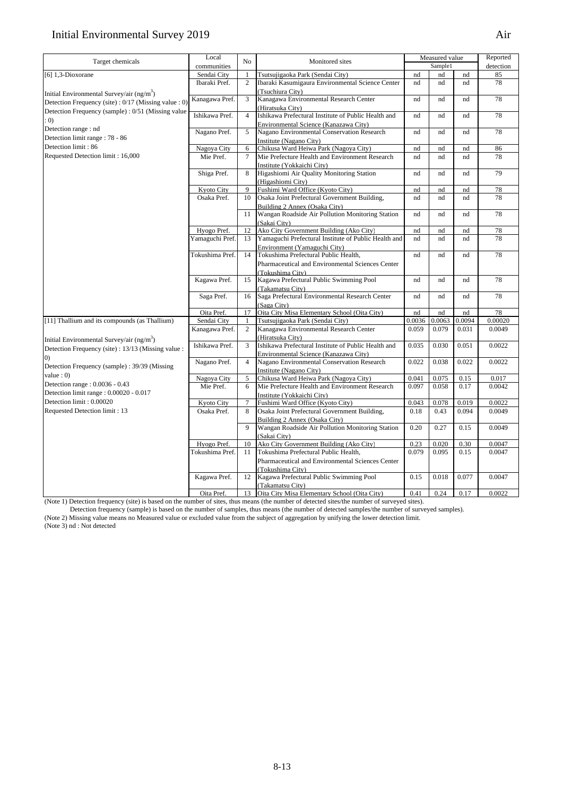# Initial Environmental Survey 2019 Air

| Target chemicals                                      | Local<br>communities | N <sub>o</sub> | Monitored sites                                      | Measured value<br>Sample1 |        | Reported<br>detection |         |
|-------------------------------------------------------|----------------------|----------------|------------------------------------------------------|---------------------------|--------|-----------------------|---------|
| [6] $1,3$ -Dioxorane                                  | Sendai City          | $\mathbf{1}$   | Tsutsujigaoka Park (Sendai City)                     | nd                        | nd     | nd                    | 85      |
|                                                       | Ibaraki Pref.        | $\overline{2}$ | Ibaraki Kasumigaura Environmental Science Center     | nd                        | nd     | nd                    | 78      |
| Initial Environmental Survey/air (ng/m <sup>3</sup> ) |                      |                | (Tsuchiura City)                                     |                           |        |                       |         |
| Detection Frequency (site): 0/17 (Missing value: 0)   | Kanagawa Pref.       | $\overline{3}$ | Kanagawa Environmental Research Center               | nd                        | nd     | nd                    | 78      |
|                                                       |                      |                | (Hiratsuka City)                                     |                           |        |                       |         |
| Detection Frequency (sample): 0/51 (Missing value     | Ishikawa Pref.       | $\overline{4}$ | Ishikawa Prefectural Institute of Public Health and  | nd                        | nd     | nd                    | 78      |
| : 0)                                                  |                      |                | Environmental Science (Kanazawa City)                |                           |        |                       |         |
| Detection range : nd                                  | Nagano Pref.         | $\overline{5}$ | Nagano Environmental Conservation Research           | nd                        | nd     | nd                    | 78      |
| Detection limit range: 78 - 86                        |                      |                | Institute (Nagano City)                              |                           |        |                       |         |
| Detection limit: 86                                   | Nagoya City          | 6              | Chikusa Ward Heiwa Park (Nagoya City)                | nd                        | nd     | nd                    | 86      |
| Requested Detection limit: 16,000                     | Mie Pref.            | $\tau$         | Mie Prefecture Health and Environment Research       | nd                        | nd     | nd                    | 78      |
|                                                       |                      |                | Institute (Yokkaichi City)                           |                           |        |                       |         |
|                                                       | Shiga Pref.          | 8              | Higashiomi Air Quality Monitoring Station            | nd                        | nd     | nd                    | 79      |
|                                                       |                      |                | (Higashiomi City)                                    |                           |        |                       |         |
|                                                       | Kyoto City           | 9              | Fushimi Ward Office (Kyoto City)                     | nd                        | nd     | nd                    | 78      |
|                                                       | Osaka Pref.          | 10             | Osaka Joint Prefectural Government Building,         | nd                        | nd     | nd                    | 78      |
|                                                       |                      |                | Building 2 Annex (Osaka City)                        |                           |        |                       |         |
|                                                       |                      | 11             | Wangan Roadside Air Pollution Monitoring Station     | nd                        | nd     | nd                    | 78      |
|                                                       |                      |                | (Sakai City)                                         |                           |        |                       |         |
|                                                       | Hyogo Pref.          | 12             | Ako City Government Building (Ako City)              | nd                        | nd     | nd                    | 78      |
|                                                       | Yamaguchi Pref.      | 13             | Yamaguchi Prefectural Institute of Public Health and | nd                        | nd     | nd                    | 78      |
|                                                       |                      |                | Environment (Yamaguchi City)                         |                           |        |                       |         |
|                                                       | Tokushima Pref.      | 14             | Tokushima Prefectural Public Health.                 | nd                        | nd     | nd                    | 78      |
|                                                       |                      |                | Pharmaceutical and Environmental Sciences Center     |                           |        |                       |         |
|                                                       |                      |                | (Tokushima City)                                     |                           |        |                       |         |
|                                                       | Kagawa Pref.         | 15             | Kagawa Prefectural Public Swimming Pool              | nd                        | nd     | nd                    | 78      |
|                                                       |                      |                | (Takamatsu City)                                     |                           |        |                       |         |
|                                                       | Saga Pref.           | 16             | Saga Prefectural Environmental Research Center       | nd                        | nd     | nd                    | 78      |
|                                                       |                      |                | (Saga City)                                          |                           |        |                       |         |
|                                                       | Oita Pref.           | 17             | Oita City Misa Elementary School (Oita City)         | nd                        | nd     | nd                    | 78      |
| [11] Thallium and its compounds (as Thallium)         | Sendai City          | $\mathbf{1}$   | Tsutsujigaoka Park (Sendai City)                     | 0.0036                    | 0.0063 | 0.0094                | 0.00020 |
|                                                       | Kanagawa Pref.       | $\overline{c}$ | Kanagawa Environmental Research Center               | 0.059                     | 0.079  | 0.031                 | 0.0049  |
| Initial Environmental Survey/air (ng/m <sup>3</sup> ) |                      |                | (Hiratsuka City)                                     |                           |        |                       |         |
| Detection Frequency (site) : 13/13 (Missing value :   | Ishikawa Pref.       | 3              | Ishikawa Prefectural Institute of Public Health and  | 0.035                     | 0.030  | 0.051                 | 0.0022  |
|                                                       |                      |                | Environmental Science (Kanazawa City)                |                           |        |                       |         |
| $\left( 0\right)$                                     | Nagano Pref.         | $\overline{4}$ | Nagano Environmental Conservation Research           | 0.022                     | 0.038  | 0.022                 | 0.0022  |
| Detection Frequency (sample): 39/39 (Missing          |                      |                | Institute (Nagano City)                              |                           |        |                       |         |
| value : $0$ )                                         | Nagoya City          | 5              | Chikusa Ward Heiwa Park (Nagoya City)                | 0.041                     | 0.075  | 0.15                  | 0.017   |
| Detection range: 0.0036 - 0.43                        | Mie Pref.            | 6              | Mie Prefecture Health and Environment Research       | 0.097                     | 0.058  | 0.17                  | 0.0042  |
| Detection limit range : 0.00020 - 0.017               |                      |                | Institute (Yokkaichi City)                           |                           |        |                       |         |
| Detection limit: 0.00020                              | Kyoto City           | $\tau$         | Fushimi Ward Office (Kyoto City)                     | 0.043                     | 0.078  | 0.019                 | 0.0022  |
| Requested Detection limit: 13                         | Osaka Pref.          | 8              | Osaka Joint Prefectural Government Building,         | 0.18                      | 0.43   | 0.094                 | 0.0049  |
|                                                       |                      |                | Building 2 Annex (Osaka City)                        |                           |        |                       |         |
|                                                       |                      | 9              | Wangan Roadside Air Pollution Monitoring Station     | 0.20                      | 0.27   | 0.15                  | 0.0049  |
|                                                       |                      |                | (Sakai City)                                         |                           |        |                       |         |
|                                                       | Hyogo Pref.          | 10             | Ako City Government Building (Ako City)              | 0.23                      | 0.020  | 0.30                  | 0.0047  |
|                                                       | Tokushima Pref.      | 11             | Tokushima Prefectural Public Health,                 | 0.079                     | 0.095  | 0.15                  | 0.0047  |
|                                                       |                      |                | Pharmaceutical and Environmental Sciences Center     |                           |        |                       |         |
|                                                       |                      |                | (Tokushima City)                                     |                           |        |                       |         |
|                                                       | Kagawa Pref.         | 12             | Kagawa Prefectural Public Swimming Pool              | 0.15                      | 0.018  | 0.077                 | 0.0047  |
|                                                       |                      |                | (Takamatsu City)                                     |                           |        |                       |         |
|                                                       | Oita Pref.           |                | 13 Oita City Misa Elementary School (Oita City)      | 0.41                      | 0.24   | 0.17                  | 0.0022  |

(Note 1) Detection frequency (site) is based on the number of sites, thus means (the number of detected sites/the number of surveyed sites).

Detection frequency (sample) is based on the number of samples, thus means (the number of detected samples/the number of surveyed samples).

(Note 2) Missing value means no Measured value or excluded value from the subject of aggregation by unifying the lower detection limit.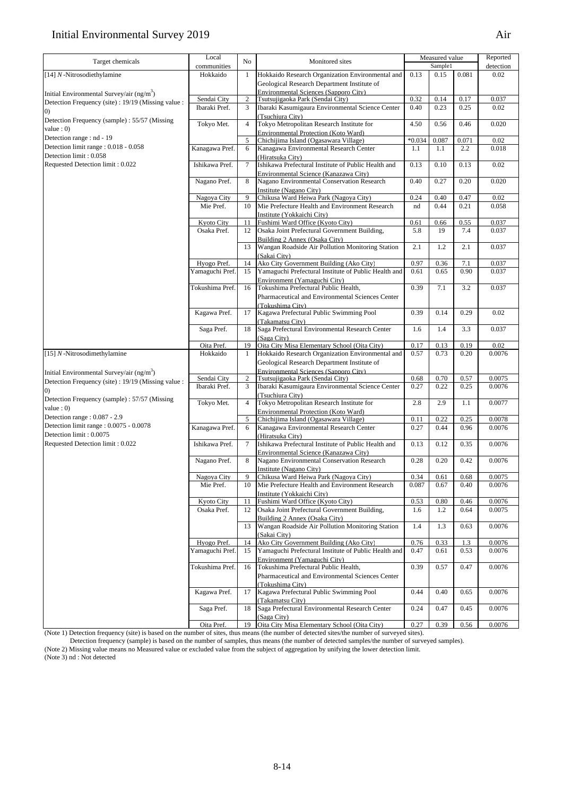# Initial Environmental Survey 2019 Air

| Target chemicals                                      | Local                  | No                 | Monitored sites                                                           | Measured value |              |              | Reported       |
|-------------------------------------------------------|------------------------|--------------------|---------------------------------------------------------------------------|----------------|--------------|--------------|----------------|
|                                                       | communities            |                    |                                                                           |                | Sample1      |              | detection      |
| [14] $N$ -Nitrosodiethylamine                         | Hokkaido               | $\mathbf{1}$       | Hokkaido Research Organization Environmental and                          | 0.13           | 0.15         | 0.081        | 0.02           |
|                                                       |                        |                    | Geological Research Department Institute of                               |                |              |              |                |
| Initial Environmental Survey/air $(ng/m3)$            | Sendai City            | $\overline{c}$     | Environmental Sciences (Sannoro City)<br>Tsutsujigaoka Park (Sendai City) | 0.32           | 0.14         | 0.17         | 0.037          |
| Detection Frequency (site) : 19/19 (Missing value :   | Ibaraki Pref.          | 3                  | Ibaraki Kasumigaura Environmental Science Center                          | 0.40           | 0.23         | 0.25         | 0.02           |
| (0)                                                   |                        |                    | (Tsuchiura City)                                                          |                |              |              |                |
| Detection Frequency (sample): 55/57 (Missing          | Tokyo Met.             | $\overline{4}$     | Tokyo Metropolitan Research Institute for                                 | 4.50           | 0.56         | 0.46         | 0.020          |
| value: $0$ )                                          |                        |                    | Environmental Protection (Koto Ward)                                      |                |              |              |                |
| Detection range : nd - 19                             |                        | 5                  | Chichijima Island (Ogasawara Village)                                     | $*0.034$       | 0.087        | 0.071        | 0.02           |
| Detection limit range : 0.018 - 0.058                 | Kanagawa Pref.         | 6                  | Kanagawa Environmental Research Center                                    | 1.1            | 1.1          | 2.2          | 0.018          |
| Detection limit: 0.058                                |                        |                    | (Hiratsuka City)                                                          |                |              |              |                |
| Requested Detection limit: 0.022                      | Ishikawa Pref.         | $\overline{7}$     | Ishikawa Prefectural Institute of Public Health and                       | 0.13           | 0.10         | 0.13         | 0.02           |
|                                                       |                        |                    | Environmental Science (Kanazawa City)                                     |                |              |              |                |
|                                                       | Nagano Pref.           | 8                  | Nagano Environmental Conservation Research                                | 0.40           | 0.27         | 0.20         | 0.020          |
|                                                       |                        |                    | Institute (Nagano City)                                                   |                |              |              |                |
|                                                       | Nagoya City            | 9                  | Chikusa Ward Heiwa Park (Nagoya City)                                     | 0.24           | 0.40         | 0.47         | 0.02           |
|                                                       | Mie Pref.              | 10                 | Mie Prefecture Health and Environment Research                            | nd             | 0.44         | 0.21         | 0.058          |
|                                                       | Kyoto City             | 11                 | Institute (Yokkaichi City)<br>Fushimi Ward Office (Kyoto City)            | 0.61           | 0.66         | 0.55         | 0.037          |
|                                                       | Osaka Pref.            | 12                 | Osaka Joint Prefectural Government Building,                              | 5.8            | 19           | 7.4          | 0.037          |
|                                                       |                        |                    | Building 2 Annex (Osaka City)                                             |                |              |              |                |
|                                                       |                        | 13                 | Wangan Roadside Air Pollution Monitoring Station                          | 2.1            | 1.2          | 2.1          | 0.037          |
|                                                       |                        |                    | (Sakai City)                                                              |                |              |              |                |
|                                                       | Hyogo Pref.            | 14                 | Ako City Government Building (Ako City)                                   | 0.97           | 0.36         | 7.1          | 0.037          |
|                                                       | Yamaguchi Pref.        | 15                 | Yamaguchi Prefectural Institute of Public Health and                      | 0.61           | 0.65         | 0.90         | 0.037          |
|                                                       |                        |                    | Environment (Yamaguchi City)                                              |                |              |              |                |
|                                                       | Tokushima Pref         | 16                 | Tokushima Prefectural Public Health,                                      | 0.39           | 7.1          | 3.2          | 0.037          |
|                                                       |                        |                    | Pharmaceutical and Environmental Sciences Center                          |                |              |              |                |
|                                                       |                        |                    | (Tokushima City)                                                          |                |              |              |                |
|                                                       | Kagawa Pref.           | 17                 | Kagawa Prefectural Public Swimming Pool                                   | 0.39           | 0.14         | 0.29         | 0.02           |
|                                                       |                        |                    | (Takamatsu City)                                                          |                |              |              |                |
|                                                       | Saga Pref.             | 18                 | Saga Prefectural Environmental Research Center                            | 1.6            | 1.4          | 3.3          | 0.037          |
|                                                       |                        |                    | (Saga City)                                                               |                |              |              |                |
| [15] $N$ -Nitrosodimethylamine                        | Oita Pref.<br>Hokkaido | 19<br>$\mathbf{1}$ | Oita City Misa Elementary School (Oita City)                              | 0.17<br>0.57   | 0.13<br>0.73 | 0.19<br>0.20 | 0.02<br>0.0076 |
|                                                       |                        |                    | Hokkaido Research Organization Environmental and                          |                |              |              |                |
|                                                       |                        |                    | Geological Research Department Institute of                               |                |              |              |                |
| Initial Environmental Survey/air (ng/m <sup>3</sup> ) | Sendai City            | $\overline{c}$     | Environmental Sciences (Sapporo City)<br>Tsutsujigaoka Park (Sendai City) | 0.68           | 0.70         | 0.57         | 0.0075         |
| Detection Frequency (site) : 19/19 (Missing value :   | Ibaraki Pref.          | 3                  | Ibaraki Kasumigaura Environmental Science Center                          | 0.27           | 0.22         | 0.25         | 0.0076         |
| (0)                                                   |                        |                    | (Tsuchiura City)                                                          |                |              |              |                |
| Detection Frequency (sample): 57/57 (Missing          | Tokyo Met.             | $\overline{4}$     | Tokyo Metropolitan Research Institute for                                 | 2.8            | 2.9          | 1.1          | 0.0077         |
| value: 0)                                             |                        |                    | Environmental Protection (Koto Ward)                                      |                |              |              |                |
| Detection range: 0.087 - 2.9                          |                        | 5                  | Chichijima Island (Ogasawara Village)                                     | 0.11           | 0.22         | 0.25         | 0.0078         |
| Detection limit range : 0.0075 - 0.0078               | Kanagawa Pref.         | 6                  | Kanagawa Environmental Research Center                                    | 0.27           | 0.44         | 0.96         | 0.0076         |
| Detection limit: 0.0075                               |                        |                    | (Hiratsuka City)                                                          |                |              |              |                |
| Requested Detection limit: 0.022                      | Ishikawa Pref.         | $\tau$             | Ishikawa Prefectural Institute of Public Health and                       | 0.13           | 0.12         | 0.35         | 0.0076         |
|                                                       |                        |                    | Environmental Science (Kanazawa City)                                     |                |              |              |                |
|                                                       | Nagano Pref.           | 8                  | Nagano Environmental Conservation Research                                | 0.28           | 0.20         | 0.42         | 0.0076         |
|                                                       | Nagoya City            | $\overline{9}$     | Institute (Nagano City)<br>Chikusa Ward Heiwa Park (Nagoya City)          | 0.34           | 0.61         | 0.68         | 0.0075         |
|                                                       | Mie Pref.              | 10                 | Mie Prefecture Health and Environment Research                            | 0.087          | 0.67         | 0.40         | 0.0076         |
|                                                       |                        |                    | Institute (Yokkaichi City)                                                |                |              |              |                |
|                                                       | Kyoto City             | 11                 | Fushimi Ward Office (Kyoto City)                                          | 0.53           | 0.80         | 0.46         | 0.0076         |
|                                                       | Osaka Pref.            | 12                 | Osaka Joint Prefectural Government Building,                              | 1.6            | 1.2          | 0.64         | 0.0075         |
|                                                       |                        |                    | Building 2 Annex (Osaka City)                                             |                |              |              |                |
|                                                       |                        | 13                 | Wangan Roadside Air Pollution Monitoring Station                          | 1.4            | 1.3          | 0.63         | 0.0076         |
|                                                       |                        |                    | (Sakai City)                                                              |                |              |              |                |
|                                                       | Hyogo Pref.            | 14                 | Ako City Government Building (Ako City)                                   | 0.76           | 0.33         | 1.3          | 0.0076         |
|                                                       | Yamaguchi Pref.        | 15                 | Yamaguchi Prefectural Institute of Public Health and                      | 0.47           | 0.61         | 0.53         | 0.0076         |
|                                                       |                        |                    | Environment (Yamaguchi City)                                              |                |              |              |                |
|                                                       | Tokushima Pref.        | 16                 | Tokushima Prefectural Public Health,                                      | 0.39           | 0.57         | 0.47         | 0.0076         |
|                                                       |                        |                    | Pharmaceutical and Environmental Sciences Center                          |                |              |              |                |
|                                                       |                        |                    | (Tokushima City)                                                          |                | 0.40         | 0.65         | 0.0076         |
|                                                       | Kagawa Pref.           | 17                 | Kagawa Prefectural Public Swimming Pool<br>(Takamatsu City)               | 0.44           |              |              |                |
|                                                       | Saga Pref.             | 18                 | Saga Prefectural Environmental Research Center                            | 0.24           | 0.47         | 0.45         | 0.0076         |
|                                                       |                        |                    | (Saga City)                                                               |                |              |              |                |
|                                                       | Oita Pref.             | 19                 | Oita City Misa Elementary School (Oita City)                              | 0.27           | 0.39         | 0.56         | 0.0076         |

(Note 1) Detection frequency (site) is based on the number of sites, thus means (the number of detected sites/the number of surveyed sites).

Detection frequency (sample) is based on the number of samples, thus means (the number of detected samples/the number of surveyed samples).

(Note 2) Missing value means no Measured value or excluded value from the subject of aggregation by unifying the lower detection limit.